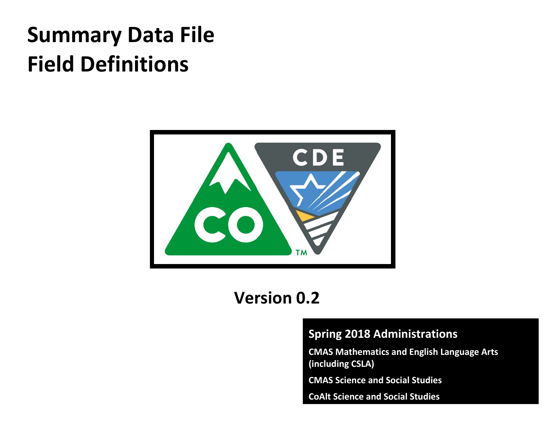# **Summary Data File Field Definitions**



# **Version 0.2**

### **Spring 2018 Administrations**

**CMAS Mathematics and English Language Arts (including CSLA)**

**CMAS Science and Social Studies**

**CoAlt Science and Social Studies**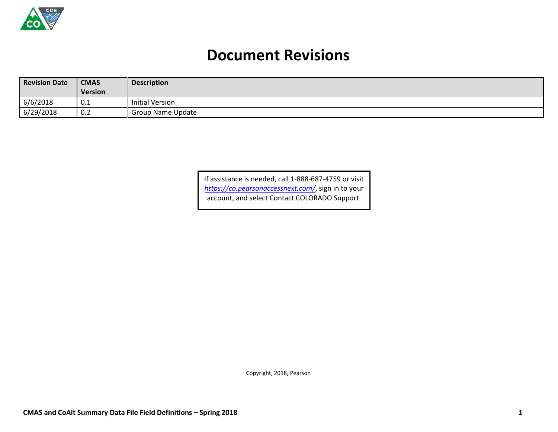

## **Document Revisions**

| <b>Revision Date</b> | <b>CMAS</b>    | <b>Description</b>     |
|----------------------|----------------|------------------------|
|                      | <b>Version</b> |                        |
| 6/6/2018             | ∪.⊥            | <b>Initial Version</b> |
| 6/29/2018            | 0.2            | Group Name Update      |

If assistance is needed, call 1-888-687-4759 or visit *<https://co.pearsonaccessnext.com/>*, sign in to your account, and select Contact COLORADO Support.

Copyright, 2018, Pearson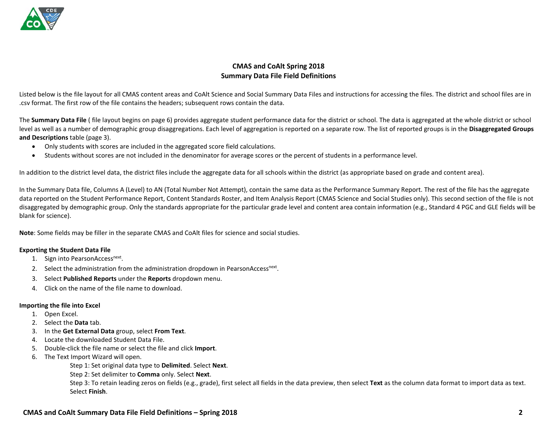

#### **CMAS and CoAlt Spring 2018 Summary Data File Field Definitions**

Listed below is the file layout for all CMAS content areas and CoAlt Science and Social Summary Data Files and instructions for accessing the files. The district and school files are in .csv format. The first row of the file contains the headers; subsequent rows contain the data.

The **Summary Data File** ( file layout begins on page 6) provides aggregate student performance data for the district or school. The data is aggregated at the whole district or school level as well as a number of demographic group disaggregations. Each level of aggregation is reported on a separate row. The list of reported groups is in the **Disaggregated Groups and Descriptions** table (page 3).

- Only students with scores are included in the aggregated score field calculations.
- Students without scores are not included in the denominator for average scores or the percent of students in a performance level.

In addition to the district level data, the district files include the aggregate data for all schools within the district (as appropriate based on grade and content area).

In the Summary Data file, Columns A (Level) to AN (Total Number Not Attempt), contain the same data as the Performance Summary Report. The rest of the file has the aggregate data reported on the Student Performance Report, Content Standards Roster, and Item Analysis Report (CMAS Science and Social Studies only). This second section of the file is not disaggregated by demographic group. Only the standards appropriate for the particular grade level and content area contain information (e.g., Standard 4 PGC and GLE fields will be blank for science).

**Note**: Some fields may be filler in the separate CMAS and CoAlt files for science and social studies.

#### **Exporting the Student Data File**

- 1. Sign into PearsonAccess<sup>next</sup>.
- 2. Select the administration from the administration dropdown in PearsonAccess<sup>next</sup>.
- 3. Select **Published Reports** under the **Reports** dropdown menu.
- 4. Click on the name of the file name to download.

#### **Importing the file into Excel**

- 1. Open Excel.
- 2. Select the **Data** tab.
- 3. In the **Get External Data** group, select **From Text**.
- 4. Locate the downloaded Student Data File.
- 5. Double-click the file name or select the file and click **Import**.
- 6. The Text Import Wizard will open.

Step 1: Set original data type to **Delimited**. Select **Next**.

Step 2: Set delimiter to **Comma** only. Select **Next**.

Step 3: To retain leading zeros on fields (e.g., grade), first select all fields in the data preview, then select **Text** as the column data format to import data as text. Select **Finish**.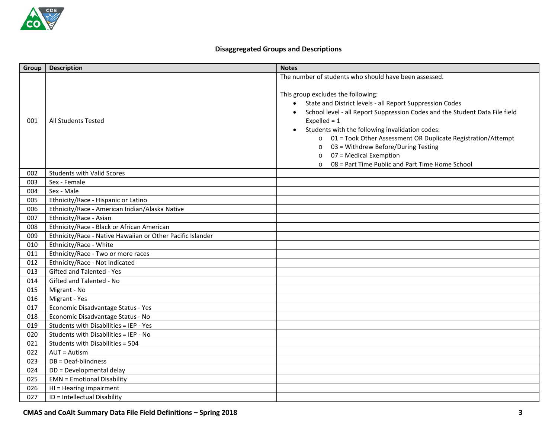#### **Disaggregated Groups and Descriptions**

| Group | <b>Description</b>                                         | <b>Notes</b>                                                                                                                                                                                                                                                                                                                                                                                                                                                                                                                                                 |
|-------|------------------------------------------------------------|--------------------------------------------------------------------------------------------------------------------------------------------------------------------------------------------------------------------------------------------------------------------------------------------------------------------------------------------------------------------------------------------------------------------------------------------------------------------------------------------------------------------------------------------------------------|
| 001   | <b>All Students Tested</b>                                 | The number of students who should have been assessed.<br>This group excludes the following:<br>State and District levels - all Report Suppression Codes<br>$\bullet$<br>School level - all Report Suppression Codes and the Student Data File field<br>$\bullet$<br>Expelled = $1$<br>Students with the following invalidation codes:<br>o 01 = Took Other Assessment OR Duplicate Registration/Attempt<br>03 = Withdrew Before/During Testing<br>$\circ$<br>07 = Medical Exemption<br>$\circ$<br>08 = Part Time Public and Part Time Home School<br>$\circ$ |
| 002   | <b>Students with Valid Scores</b>                          |                                                                                                                                                                                                                                                                                                                                                                                                                                                                                                                                                              |
| 003   | Sex - Female                                               |                                                                                                                                                                                                                                                                                                                                                                                                                                                                                                                                                              |
| 004   | Sex - Male                                                 |                                                                                                                                                                                                                                                                                                                                                                                                                                                                                                                                                              |
| 005   | Ethnicity/Race - Hispanic or Latino                        |                                                                                                                                                                                                                                                                                                                                                                                                                                                                                                                                                              |
| 006   | Ethnicity/Race - American Indian/Alaska Native             |                                                                                                                                                                                                                                                                                                                                                                                                                                                                                                                                                              |
| 007   | Ethnicity/Race - Asian                                     |                                                                                                                                                                                                                                                                                                                                                                                                                                                                                                                                                              |
| 008   | Ethnicity/Race - Black or African American                 |                                                                                                                                                                                                                                                                                                                                                                                                                                                                                                                                                              |
| 009   | Ethnicity/Race - Native Hawaiian or Other Pacific Islander |                                                                                                                                                                                                                                                                                                                                                                                                                                                                                                                                                              |
| 010   | Ethnicity/Race - White                                     |                                                                                                                                                                                                                                                                                                                                                                                                                                                                                                                                                              |
| 011   | Ethnicity/Race - Two or more races                         |                                                                                                                                                                                                                                                                                                                                                                                                                                                                                                                                                              |
| 012   | Ethnicity/Race - Not Indicated                             |                                                                                                                                                                                                                                                                                                                                                                                                                                                                                                                                                              |
| 013   | Gifted and Talented - Yes                                  |                                                                                                                                                                                                                                                                                                                                                                                                                                                                                                                                                              |
| 014   | Gifted and Talented - No                                   |                                                                                                                                                                                                                                                                                                                                                                                                                                                                                                                                                              |
| 015   | Migrant - No                                               |                                                                                                                                                                                                                                                                                                                                                                                                                                                                                                                                                              |
| 016   | Migrant - Yes                                              |                                                                                                                                                                                                                                                                                                                                                                                                                                                                                                                                                              |
| 017   | Economic Disadvantage Status - Yes                         |                                                                                                                                                                                                                                                                                                                                                                                                                                                                                                                                                              |
| 018   | Economic Disadvantage Status - No                          |                                                                                                                                                                                                                                                                                                                                                                                                                                                                                                                                                              |
| 019   | Students with Disabilities = IEP - Yes                     |                                                                                                                                                                                                                                                                                                                                                                                                                                                                                                                                                              |
| 020   | Students with Disabilities = IEP - No                      |                                                                                                                                                                                                                                                                                                                                                                                                                                                                                                                                                              |
| 021   | Students with Disabilities = 504                           |                                                                                                                                                                                                                                                                                                                                                                                                                                                                                                                                                              |
| 022   | $AUT = Autism$                                             |                                                                                                                                                                                                                                                                                                                                                                                                                                                                                                                                                              |
| 023   | DB = Deaf-blindness                                        |                                                                                                                                                                                                                                                                                                                                                                                                                                                                                                                                                              |
| 024   | DD = Developmental delay                                   |                                                                                                                                                                                                                                                                                                                                                                                                                                                                                                                                                              |
| 025   | <b>EMN = Emotional Disability</b>                          |                                                                                                                                                                                                                                                                                                                                                                                                                                                                                                                                                              |
| 026   | HI = Hearing impairment                                    |                                                                                                                                                                                                                                                                                                                                                                                                                                                                                                                                                              |
| 027   | ID = Intellectual Disability                               |                                                                                                                                                                                                                                                                                                                                                                                                                                                                                                                                                              |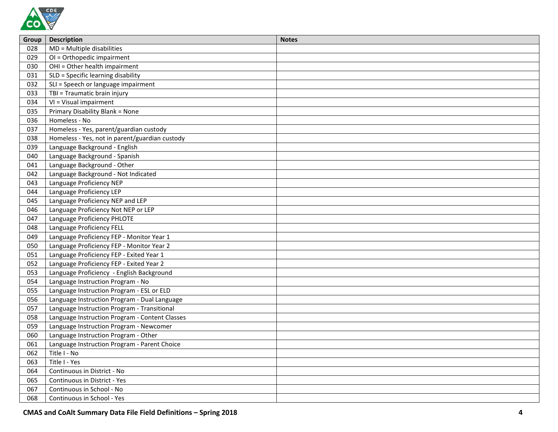

| Group | <b>Description</b>                             | <b>Notes</b> |
|-------|------------------------------------------------|--------------|
| 028   | MD = Multiple disabilities                     |              |
| 029   | OI = Orthopedic impairment                     |              |
| 030   | OHI = Other health impairment                  |              |
| 031   | SLD = Specific learning disability             |              |
| 032   | SLI = Speech or language impairment            |              |
| 033   | TBI = Traumatic brain injury                   |              |
| 034   | VI = Visual impairment                         |              |
| 035   | Primary Disability Blank = None                |              |
| 036   | Homeless - No                                  |              |
| 037   | Homeless - Yes, parent/guardian custody        |              |
| 038   | Homeless - Yes, not in parent/guardian custody |              |
| 039   | Language Background - English                  |              |
| 040   | Language Background - Spanish                  |              |
| 041   | Language Background - Other                    |              |
| 042   | Language Background - Not Indicated            |              |
| 043   | Language Proficiency NEP                       |              |
| 044   | Language Proficiency LEP                       |              |
| 045   | Language Proficiency NEP and LEP               |              |
| 046   | Language Proficiency Not NEP or LEP            |              |
| 047   | Language Proficiency PHLOTE                    |              |
| 048   | Language Proficiency FELL                      |              |
| 049   | Language Proficiency FEP - Monitor Year 1      |              |
| 050   | Language Proficiency FEP - Monitor Year 2      |              |
| 051   | Language Proficiency FEP - Exited Year 1       |              |
| 052   | Language Proficiency FEP - Exited Year 2       |              |
| 053   | Language Proficiency - English Background      |              |
| 054   | Language Instruction Program - No              |              |
| 055   | Language Instruction Program - ESL or ELD      |              |
| 056   | Language Instruction Program - Dual Language   |              |
| 057   | Language Instruction Program - Transitional    |              |
| 058   | Language Instruction Program - Content Classes |              |
| 059   | Language Instruction Program - Newcomer        |              |
| 060   | Language Instruction Program - Other           |              |
| 061   | Language Instruction Program - Parent Choice   |              |
| 062   | Title I - No                                   |              |
| 063   | Title I - Yes                                  |              |
| 064   | Continuous in District - No                    |              |
| 065   | Continuous in District - Yes                   |              |
| 067   | Continuous in School - No                      |              |
| 068   | Continuous in School - Yes                     |              |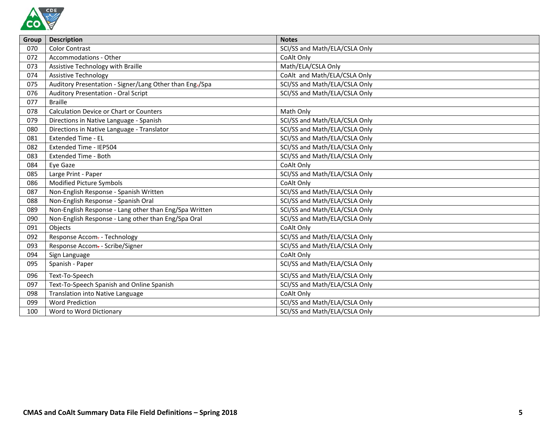

| Group | <b>Description</b>                                      | <b>Notes</b>                  |
|-------|---------------------------------------------------------|-------------------------------|
| 070   | <b>Color Contrast</b>                                   | SCI/SS and Math/ELA/CSLA Only |
| 072   | Accommodations - Other                                  | CoAlt Only                    |
| 073   | Assistive Technology with Braille                       | Math/ELA/CSLA Only            |
| 074   | <b>Assistive Technology</b>                             | CoAlt and Math/ELA/CSLA Only  |
| 075   | Auditory Presentation - Signer/Lang Other than Eng-/Spa | SCI/SS and Math/ELA/CSLA Only |
| 076   | <b>Auditory Presentation - Oral Script</b>              | SCI/SS and Math/ELA/CSLA Only |
| 077   | <b>Braille</b>                                          |                               |
| 078   | <b>Calculation Device or Chart or Counters</b>          | Math Only                     |
| 079   | Directions in Native Language - Spanish                 | SCI/SS and Math/ELA/CSLA Only |
| 080   | Directions in Native Language - Translator              | SCI/SS and Math/ELA/CSLA Only |
| 081   | Extended Time - EL                                      | SCI/SS and Math/ELA/CSLA Only |
| 082   | Extended Time - IEP504                                  | SCI/SS and Math/ELA/CSLA Only |
| 083   | Extended Time - Both                                    | SCI/SS and Math/ELA/CSLA Only |
| 084   | Eye Gaze                                                | CoAlt Only                    |
| 085   | Large Print - Paper                                     | SCI/SS and Math/ELA/CSLA Only |
| 086   | Modified Picture Symbols                                | CoAlt Only                    |
| 087   | Non-English Response - Spanish Written                  | SCI/SS and Math/ELA/CSLA Only |
| 088   | Non-English Response - Spanish Oral                     | SCI/SS and Math/ELA/CSLA Only |
| 089   | Non-English Response - Lang other than Eng/Spa Written  | SCI/SS and Math/ELA/CSLA Only |
| 090   | Non-English Response - Lang other than Eng/Spa Oral     | SCI/SS and Math/ELA/CSLA Only |
| 091   | Objects                                                 | CoAlt Only                    |
| 092   | Response Accom- - Technology                            | SCI/SS and Math/ELA/CSLA Only |
| 093   | Response Accom- - Scribe/Signer                         | SCI/SS and Math/ELA/CSLA Only |
| 094   | Sign Language                                           | CoAlt Only                    |
| 095   | Spanish - Paper                                         | SCI/SS and Math/ELA/CSLA Only |
| 096   | Text-To-Speech                                          | SCI/SS and Math/ELA/CSLA Only |
| 097   | Text-To-Speech Spanish and Online Spanish               | SCI/SS and Math/ELA/CSLA Only |
| 098   | <b>Translation into Native Language</b>                 | CoAlt Only                    |
| 099   | <b>Word Prediction</b>                                  | SCI/SS and Math/ELA/CSLA Only |
| 100   | Word to Word Dictionary                                 | SCI/SS and Math/ELA/CSLA Only |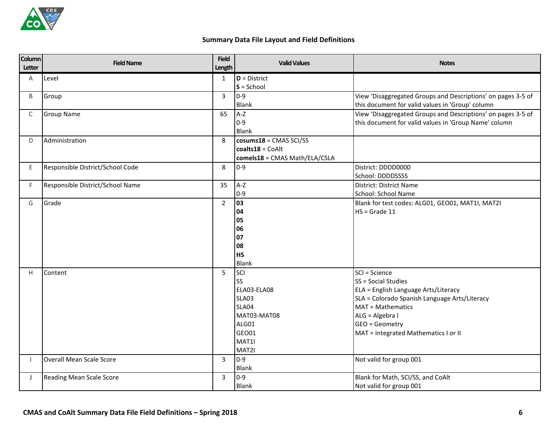

#### **Summary Data File Layout and Field Definitions**

| <b>Column</b><br>Letter | <b>Field Name</b>                                               | <b>Field</b><br>Length                | <b>Valid Values</b>                                                                                                                                          | <b>Notes</b>                                                                                                                                                                                                                                                                                                               |
|-------------------------|-----------------------------------------------------------------|---------------------------------------|--------------------------------------------------------------------------------------------------------------------------------------------------------------|----------------------------------------------------------------------------------------------------------------------------------------------------------------------------------------------------------------------------------------------------------------------------------------------------------------------------|
| $\overline{A}$          | Level                                                           | $\mathbf{1}$                          | $D = District$                                                                                                                                               |                                                                                                                                                                                                                                                                                                                            |
|                         |                                                                 |                                       | $S =$ School                                                                                                                                                 |                                                                                                                                                                                                                                                                                                                            |
| B                       | Group                                                           | $\overline{3}$                        | $0 - 9$                                                                                                                                                      | View 'Disaggregated Groups and Descriptions' on pages 3-5 of                                                                                                                                                                                                                                                               |
|                         |                                                                 |                                       | <b>Blank</b>                                                                                                                                                 | this document for valid values in 'Group' column                                                                                                                                                                                                                                                                           |
| C                       | <b>Group Name</b>                                               | 65                                    | $A-Z$                                                                                                                                                        | View 'Disaggregated Groups and Descriptions' on pages 3-5 of                                                                                                                                                                                                                                                               |
|                         |                                                                 |                                       | $0 - 9$                                                                                                                                                      | this document for valid values in 'Group Name' column                                                                                                                                                                                                                                                                      |
|                         |                                                                 |                                       | <b>Blank</b>                                                                                                                                                 |                                                                                                                                                                                                                                                                                                                            |
| D                       | Administration                                                  | 8                                     | $cosums18 = CMAS SCI/SS$                                                                                                                                     |                                                                                                                                                                                                                                                                                                                            |
|                         |                                                                 |                                       | $coalts18 = CoAlt$                                                                                                                                           |                                                                                                                                                                                                                                                                                                                            |
|                         |                                                                 |                                       | comels18 = CMAS Math/ELA/CSLA                                                                                                                                |                                                                                                                                                                                                                                                                                                                            |
| E                       | Responsible District/School Code                                | 8                                     | $0 - 9$                                                                                                                                                      | District: DDDD0000                                                                                                                                                                                                                                                                                                         |
|                         |                                                                 |                                       |                                                                                                                                                              | School: DDDDSSSS                                                                                                                                                                                                                                                                                                           |
| F                       | Responsible District/School Name                                | 35                                    | $A-Z$                                                                                                                                                        | <b>District: District Name</b>                                                                                                                                                                                                                                                                                             |
|                         |                                                                 |                                       | $0 - 9$                                                                                                                                                      | School: School Name                                                                                                                                                                                                                                                                                                        |
| G                       | Grade                                                           | $\overline{2}$                        | 03                                                                                                                                                           | Blank for test codes: ALG01, GEO01, MAT1I, MAT2I                                                                                                                                                                                                                                                                           |
|                         |                                                                 |                                       | 04                                                                                                                                                           | $HS = Grade 11$                                                                                                                                                                                                                                                                                                            |
|                         |                                                                 |                                       | 05                                                                                                                                                           |                                                                                                                                                                                                                                                                                                                            |
|                         |                                                                 |                                       | 06                                                                                                                                                           |                                                                                                                                                                                                                                                                                                                            |
|                         |                                                                 |                                       | 07                                                                                                                                                           |                                                                                                                                                                                                                                                                                                                            |
|                         |                                                                 |                                       | 08                                                                                                                                                           |                                                                                                                                                                                                                                                                                                                            |
|                         |                                                                 |                                       | <b>HS</b>                                                                                                                                                    |                                                                                                                                                                                                                                                                                                                            |
|                         |                                                                 |                                       |                                                                                                                                                              |                                                                                                                                                                                                                                                                                                                            |
|                         |                                                                 |                                       |                                                                                                                                                              |                                                                                                                                                                                                                                                                                                                            |
|                         |                                                                 |                                       |                                                                                                                                                              |                                                                                                                                                                                                                                                                                                                            |
|                         |                                                                 |                                       |                                                                                                                                                              |                                                                                                                                                                                                                                                                                                                            |
|                         |                                                                 |                                       |                                                                                                                                                              |                                                                                                                                                                                                                                                                                                                            |
|                         |                                                                 |                                       |                                                                                                                                                              |                                                                                                                                                                                                                                                                                                                            |
|                         |                                                                 |                                       |                                                                                                                                                              |                                                                                                                                                                                                                                                                                                                            |
|                         |                                                                 |                                       |                                                                                                                                                              |                                                                                                                                                                                                                                                                                                                            |
|                         |                                                                 |                                       |                                                                                                                                                              |                                                                                                                                                                                                                                                                                                                            |
|                         |                                                                 |                                       |                                                                                                                                                              |                                                                                                                                                                                                                                                                                                                            |
|                         |                                                                 |                                       |                                                                                                                                                              |                                                                                                                                                                                                                                                                                                                            |
|                         |                                                                 |                                       |                                                                                                                                                              |                                                                                                                                                                                                                                                                                                                            |
|                         |                                                                 |                                       |                                                                                                                                                              |                                                                                                                                                                                                                                                                                                                            |
|                         |                                                                 |                                       |                                                                                                                                                              |                                                                                                                                                                                                                                                                                                                            |
| H.<br>J                 | Content<br>Overall Mean Scale Score<br>Reading Mean Scale Score | 5<br>$\overline{3}$<br>$\overline{3}$ | Blank<br>SCI<br>SS<br>ELA03-ELA08<br><b>SLA03</b><br>SLA04<br>MAT03-MAT08<br>ALG01<br>GEO01<br>MAT1I<br>MAT2I<br>$0 - 9$<br>Blank<br>$0 - 9$<br><b>Blank</b> | SCI = Science<br>SS = Social Studies<br>ELA = English Language Arts/Literacy<br>SLA = Colorado Spanish Language Arts/Literacy<br>MAT = Mathematics<br>ALG = Algebra I<br>GEO = Geometry<br>MAT = Integrated Mathematics I or II<br>Not valid for group 001<br>Blank for Math, SCI/SS, and CoAlt<br>Not valid for group 001 |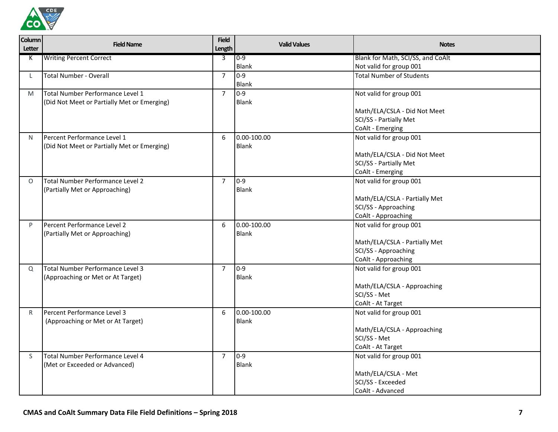

| <b>Column</b><br>Letter | <b>Field Name</b>                           | <b>Field</b><br>Length | <b>Valid Values</b> | <b>Notes</b>                                |
|-------------------------|---------------------------------------------|------------------------|---------------------|---------------------------------------------|
| К                       | <b>Writing Percent Correct</b>              | $\overline{3}$         | $0 - 9$             | Blank for Math, SCI/SS, and CoAlt           |
|                         |                                             |                        | <b>Blank</b>        | Not valid for group 001                     |
| L                       | <b>Total Number - Overall</b>               | $\overline{7}$         | $0 - 9$             | <b>Total Number of Students</b>             |
|                         |                                             |                        | <b>Blank</b>        |                                             |
| M                       | Total Number Performance Level 1            | $\overline{7}$         | $0 - 9$             | Not valid for group 001                     |
|                         | (Did Not Meet or Partially Met or Emerging) |                        | Blank               |                                             |
|                         |                                             |                        |                     | Math/ELA/CSLA - Did Not Meet                |
|                         |                                             |                        |                     | SCI/SS - Partially Met                      |
|                         |                                             |                        |                     | CoAlt - Emerging                            |
| N                       | Percent Performance Level 1                 | 6                      | $0.00 - 100.00$     | Not valid for group 001                     |
|                         | (Did Not Meet or Partially Met or Emerging) |                        | Blank               |                                             |
|                         |                                             |                        |                     | Math/ELA/CSLA - Did Not Meet                |
|                         |                                             |                        |                     | SCI/SS - Partially Met                      |
|                         |                                             |                        |                     | CoAlt - Emerging                            |
| $\circ$                 | Total Number Performance Level 2            | $\overline{7}$         | $0 - 9$             | Not valid for group 001                     |
|                         | (Partially Met or Approaching)              |                        | <b>Blank</b>        |                                             |
|                         |                                             |                        |                     | Math/ELA/CSLA - Partially Met               |
|                         |                                             |                        |                     | SCI/SS - Approaching                        |
|                         |                                             |                        |                     | CoAlt - Approaching                         |
| P                       | Percent Performance Level 2                 | 6                      | 0.00-100.00         | Not valid for group 001                     |
|                         | (Partially Met or Approaching)              |                        | Blank               |                                             |
|                         |                                             |                        |                     | Math/ELA/CSLA - Partially Met               |
|                         |                                             |                        |                     | SCI/SS - Approaching<br>CoAlt - Approaching |
|                         | Total Number Performance Level 3            | $\overline{7}$         | $0 - 9$             | Not valid for group 001                     |
| Q                       | (Approaching or Met or At Target)           |                        | <b>Blank</b>        |                                             |
|                         |                                             |                        |                     | Math/ELA/CSLA - Approaching                 |
|                         |                                             |                        |                     | SCI/SS - Met                                |
|                         |                                             |                        |                     | CoAlt - At Target                           |
| R.                      | Percent Performance Level 3                 | 6                      | 0.00-100.00         | Not valid for group 001                     |
|                         | (Approaching or Met or At Target)           |                        | Blank               |                                             |
|                         |                                             |                        |                     | Math/ELA/CSLA - Approaching                 |
|                         |                                             |                        |                     | SCI/SS - Met                                |
|                         |                                             |                        |                     | CoAlt - At Target                           |
| S                       | Total Number Performance Level 4            | $\overline{7}$         | $0 - 9$             | Not valid for group 001                     |
|                         | (Met or Exceeded or Advanced)               |                        | <b>Blank</b>        |                                             |
|                         |                                             |                        |                     | Math/ELA/CSLA - Met                         |
|                         |                                             |                        |                     | SCI/SS - Exceeded                           |
|                         |                                             |                        |                     | CoAlt - Advanced                            |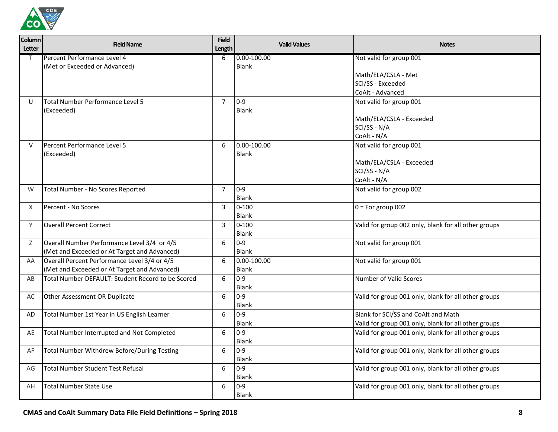

| Column<br>Letter | <b>Field Name</b>                                  | <b>Field</b><br>Length | <b>Valid Values</b> | <b>Notes</b>                                         |
|------------------|----------------------------------------------------|------------------------|---------------------|------------------------------------------------------|
|                  | Percent Performance Level 4                        | 6                      | $0.00 - 100.00$     | Not valid for group 001                              |
|                  | (Met or Exceeded or Advanced)                      |                        | Blank               |                                                      |
|                  |                                                    |                        |                     | Math/ELA/CSLA - Met                                  |
|                  |                                                    |                        |                     | SCI/SS - Exceeded                                    |
|                  |                                                    |                        | $0 - 9$             | CoAlt - Advanced                                     |
| $\mathbf{U}$     | Total Number Performance Level 5<br>(Exceeded)     | $\overline{7}$         | <b>Blank</b>        | Not valid for group 001                              |
|                  |                                                    |                        |                     | Math/ELA/CSLA - Exceeded                             |
|                  |                                                    |                        |                     | SCI/SS - N/A                                         |
|                  |                                                    |                        |                     | CoAlt - N/A                                          |
| $\vee$           | Percent Performance Level 5                        | 6                      | 0.00-100.00         | Not valid for group 001                              |
|                  | (Exceeded)                                         |                        | <b>Blank</b>        |                                                      |
|                  |                                                    |                        |                     | Math/ELA/CSLA - Exceeded                             |
|                  |                                                    |                        |                     | SCI/SS - N/A                                         |
|                  |                                                    |                        |                     | CoAlt - N/A                                          |
| W                | Total Number - No Scores Reported                  | $\overline{7}$         | $0 - 9$             | Not valid for group 002                              |
|                  |                                                    |                        | Blank               |                                                      |
| $\times$         | Percent - No Scores                                | 3                      | $0 - 100$           | $0 = For group 002$                                  |
|                  |                                                    |                        | <b>Blank</b>        |                                                      |
| Y                | <b>Overall Percent Correct</b>                     | 3                      | $0 - 100$           | Valid for group 002 only, blank for all other groups |
|                  |                                                    |                        | Blank               |                                                      |
| Z                | Overall Number Performance Level 3/4 or 4/5        | 6                      | $0 - 9$             | Not valid for group 001                              |
|                  | (Met and Exceeded or At Target and Advanced)       |                        | Blank               |                                                      |
| AA               | Overall Percent Performance Level 3/4 or 4/5       | 6                      | 0.00-100.00         | Not valid for group 001                              |
|                  | (Met and Exceeded or At Target and Advanced)       |                        | <b>Blank</b>        |                                                      |
| AB               | Total Number DEFAULT: Student Record to be Scored  | 6                      | $0 - 9$             | Number of Valid Scores                               |
|                  |                                                    |                        | Blank               |                                                      |
| AC               | Other Assessment OR Duplicate                      | 6                      | $0 - 9$             | Valid for group 001 only, blank for all other groups |
|                  |                                                    |                        | <b>Blank</b>        |                                                      |
| AD               | Total Number 1st Year in US English Learner        | $6\,$                  | $0 - 9$             | Blank for SCI/SS and CoAlt and Math                  |
|                  |                                                    |                        | <b>Blank</b>        | Valid for group 001 only, blank for all other groups |
| AE               | Total Number Interrupted and Not Completed         | 6                      | $0 - 9$             | Valid for group 001 only, blank for all other groups |
|                  |                                                    |                        | Blank<br>$0 - 9$    |                                                      |
| AF               | <b>Total Number Withdrew Before/During Testing</b> | 6                      | <b>Blank</b>        | Valid for group 001 only, blank for all other groups |
|                  | <b>Total Number Student Test Refusal</b>           | $6\,$                  | $0 - 9$             | Valid for group 001 only, blank for all other groups |
| AG               |                                                    |                        | Blank               |                                                      |
| AH               | <b>Total Number State Use</b>                      | 6                      | $0 - 9$             | Valid for group 001 only, blank for all other groups |
|                  |                                                    |                        | Blank               |                                                      |
|                  |                                                    |                        |                     |                                                      |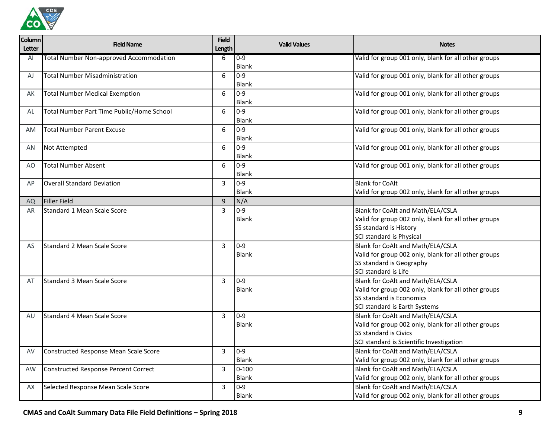

| Column<br><b>Letter</b> | <b>Field Name</b>                              | <b>Field</b><br>Length | <b>Valid Values</b>       | <b>Notes</b>                                                                                                                                                   |
|-------------------------|------------------------------------------------|------------------------|---------------------------|----------------------------------------------------------------------------------------------------------------------------------------------------------------|
| AI                      | <b>Total Number Non-approved Accommodation</b> | 6                      | $0 - 9$<br><b>Blank</b>   | Valid for group 001 only, blank for all other groups                                                                                                           |
| AJ                      | <b>Total Number Misadministration</b>          | 6                      | $0 - 9$<br><b>Blank</b>   | Valid for group 001 only, blank for all other groups                                                                                                           |
| АK                      | <b>Total Number Medical Exemption</b>          | 6                      | $0 - 9$<br><b>Blank</b>   | Valid for group 001 only, blank for all other groups                                                                                                           |
| AL                      | Total Number Part Time Public/Home School      | 6                      | $0 - 9$<br><b>Blank</b>   | Valid for group 001 only, blank for all other groups                                                                                                           |
| <b>AM</b>               | <b>Total Number Parent Excuse</b>              | 6                      | $0 - 9$<br><b>Blank</b>   | Valid for group 001 only, blank for all other groups                                                                                                           |
| AN                      | Not Attempted                                  | 6                      | $0 - 9$<br><b>Blank</b>   | Valid for group 001 only, blank for all other groups                                                                                                           |
| AO                      | <b>Total Number Absent</b>                     | 6                      | $0 - 9$<br>Blank          | Valid for group 001 only, blank for all other groups                                                                                                           |
| AP                      | <b>Overall Standard Deviation</b>              | $\overline{3}$         | $0 - 9$<br>Blank          | <b>Blank for CoAlt</b><br>Valid for group 002 only, blank for all other groups                                                                                 |
| AQ                      | <b>Filler Field</b>                            | $9\,$                  | N/A                       |                                                                                                                                                                |
| AR                      | Standard 1 Mean Scale Score                    | $\overline{3}$         | $0 - 9$<br><b>Blank</b>   | Blank for CoAlt and Math/ELA/CSLA<br>Valid for group 002 only, blank for all other groups<br>SS standard is History<br>SCI standard is Physical                |
| AS                      | <b>Standard 2 Mean Scale Score</b>             | 3                      | $0 - 9$<br><b>Blank</b>   | Blank for CoAlt and Math/ELA/CSLA<br>Valid for group 002 only, blank for all other groups<br>SS standard is Geography<br>SCI standard is Life                  |
| AT                      | <b>Standard 3 Mean Scale Score</b>             | 3                      | $0 - 9$<br>Blank          | Blank for CoAlt and Math/ELA/CSLA<br>Valid for group 002 only, blank for all other groups<br>SS standard is Economics<br>SCI standard is Earth Systems         |
| AU                      | Standard 4 Mean Scale Score                    | 3                      | $0 - 9$<br><b>Blank</b>   | Blank for CoAlt and Math/ELA/CSLA<br>Valid for group 002 only, blank for all other groups<br>SS standard is Civics<br>SCI standard is Scientific Investigation |
| AV                      | Constructed Response Mean Scale Score          | 3                      | $0-9$<br><b>Blank</b>     | Blank for CoAlt and Math/ELA/CSLA<br>Valid for group 002 only, blank for all other groups                                                                      |
| <b>AW</b>               | <b>Constructed Response Percent Correct</b>    | 3                      | $0 - 100$<br><b>Blank</b> | Blank for CoAlt and Math/ELA/CSLA<br>Valid for group 002 only, blank for all other groups                                                                      |
| AX                      | Selected Response Mean Scale Score             | 3                      | $0 - 9$<br>Blank          | Blank for CoAlt and Math/ELA/CSLA<br>Valid for group 002 only, blank for all other groups                                                                      |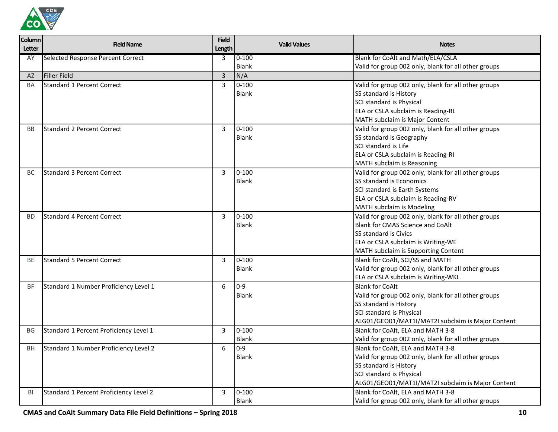

| <b>Column</b><br>Letter | <b>Field Name</b>                      | <b>Field</b><br>Length | <b>Valid Values</b> | <b>Notes</b>                                         |
|-------------------------|----------------------------------------|------------------------|---------------------|------------------------------------------------------|
| AY                      | Selected Response Percent Correct      | 3                      | $0 - 100$           | Blank for CoAlt and Math/ELA/CSLA                    |
|                         |                                        |                        | Blank               | Valid for group 002 only, blank for all other groups |
| <b>AZ</b>               | Filler Field                           | $\overline{3}$         | N/A                 |                                                      |
| <b>BA</b>               | <b>Standard 1 Percent Correct</b>      | 3                      | $0 - 100$           | Valid for group 002 only, blank for all other groups |
|                         |                                        |                        | Blank               | SS standard is History                               |
|                         |                                        |                        |                     | SCI standard is Physical                             |
|                         |                                        |                        |                     | ELA or CSLA subclaim is Reading-RL                   |
|                         |                                        |                        |                     | MATH subclaim is Major Content                       |
| <b>BB</b>               | <b>Standard 2 Percent Correct</b>      | 3                      | $0 - 100$           | Valid for group 002 only, blank for all other groups |
|                         |                                        |                        | Blank               | SS standard is Geography                             |
|                         |                                        |                        |                     | SCI standard is Life                                 |
|                         |                                        |                        |                     | ELA or CSLA subclaim is Reading-RI                   |
|                         |                                        |                        |                     | MATH subclaim is Reasoning                           |
| BC.                     | Standard 3 Percent Correct             | 3                      | $0 - 100$           | Valid for group 002 only, blank for all other groups |
|                         |                                        |                        | <b>Blank</b>        | SS standard is Economics                             |
|                         |                                        |                        |                     | SCI standard is Earth Systems                        |
|                         |                                        |                        |                     | ELA or CSLA subclaim is Reading-RV                   |
|                         |                                        |                        |                     | MATH subclaim is Modeling                            |
| <b>BD</b>               | Standard 4 Percent Correct             | 3                      | $0 - 100$           | Valid for group 002 only, blank for all other groups |
|                         |                                        |                        | Blank               | Blank for CMAS Science and CoAlt                     |
|                         |                                        |                        |                     | SS standard is Civics                                |
|                         |                                        |                        |                     | ELA or CSLA subclaim is Writing-WE                   |
|                         |                                        |                        |                     | MATH subclaim is Supporting Content                  |
| <b>BE</b>               | <b>Standard 5 Percent Correct</b>      | 3                      | $0 - 100$           | Blank for CoAlt, SCI/SS and MATH                     |
|                         |                                        |                        | <b>Blank</b>        | Valid for group 002 only, blank for all other groups |
|                         |                                        |                        |                     | ELA or CSLA subclaim is Writing-WKL                  |
| <b>BF</b>               | Standard 1 Number Proficiency Level 1  | 6                      | $0 - 9$             | <b>Blank for CoAlt</b>                               |
|                         |                                        |                        | <b>Blank</b>        | Valid for group 002 only, blank for all other groups |
|                         |                                        |                        |                     | SS standard is History                               |
|                         |                                        |                        |                     | SCI standard is Physical                             |
|                         |                                        |                        |                     | ALG01/GEO01/MAT1I/MAT2I subclaim is Major Content    |
| BG                      | Standard 1 Percent Proficiency Level 1 | 3                      | $0 - 100$           | Blank for CoAlt, ELA and MATH 3-8                    |
|                         |                                        |                        | <b>Blank</b>        | Valid for group 002 only, blank for all other groups |
| BH                      | Standard 1 Number Proficiency Level 2  | 6                      | $0 - 9$             | Blank for CoAlt, ELA and MATH 3-8                    |
|                         |                                        |                        | <b>Blank</b>        | Valid for group 002 only, blank for all other groups |
|                         |                                        |                        |                     | SS standard is History                               |
|                         |                                        |                        |                     | SCI standard is Physical                             |
|                         |                                        |                        |                     | ALG01/GEO01/MAT1I/MAT2I subclaim is Major Content    |
| BI                      | Standard 1 Percent Proficiency Level 2 | 3                      | $0 - 100$           | Blank for CoAlt, ELA and MATH 3-8                    |
|                         |                                        |                        | Blank               | Valid for group 002 only, blank for all other groups |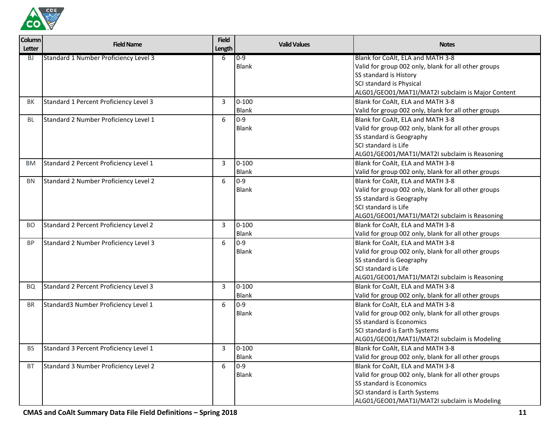

| <b>Column</b><br>Letter | <b>Field Name</b>                      | <b>Field</b><br>Length | <b>Valid Values</b> | <b>Notes</b>                                         |
|-------------------------|----------------------------------------|------------------------|---------------------|------------------------------------------------------|
| BJ                      | Standard 1 Number Proficiency Level 3  | 6                      | $0 - 9$             | Blank for CoAlt, ELA and MATH 3-8                    |
|                         |                                        |                        | <b>Blank</b>        | Valid for group 002 only, blank for all other groups |
|                         |                                        |                        |                     | SS standard is History                               |
|                         |                                        |                        |                     | SCI standard is Physical                             |
|                         |                                        |                        |                     | ALG01/GEO01/MAT1I/MAT2I subclaim is Major Content    |
| BK                      | Standard 1 Percent Proficiency Level 3 | 3                      | $0 - 100$           | Blank for CoAlt, ELA and MATH 3-8                    |
|                         |                                        |                        | <b>Blank</b>        | Valid for group 002 only, blank for all other groups |
| BL                      | Standard 2 Number Proficiency Level 1  | 6                      | $0 - 9$             | Blank for CoAlt, ELA and MATH 3-8                    |
|                         |                                        |                        | <b>Blank</b>        | Valid for group 002 only, blank for all other groups |
|                         |                                        |                        |                     | SS standard is Geography                             |
|                         |                                        |                        |                     | SCI standard is Life                                 |
|                         |                                        |                        |                     | ALG01/GEO01/MAT1I/MAT2I subclaim is Reasoning        |
| BM                      | Standard 2 Percent Proficiency Level 1 | 3                      | $0 - 100$           | Blank for CoAlt, ELA and MATH 3-8                    |
|                         |                                        |                        | <b>Blank</b>        | Valid for group 002 only, blank for all other groups |
| <b>BN</b>               | Standard 2 Number Proficiency Level 2  | 6                      | $0 - 9$             | Blank for CoAlt, ELA and MATH 3-8                    |
|                         |                                        |                        | <b>Blank</b>        | Valid for group 002 only, blank for all other groups |
|                         |                                        |                        |                     | SS standard is Geography                             |
|                         |                                        |                        |                     | SCI standard is Life                                 |
|                         |                                        |                        |                     | ALG01/GEO01/MAT1I/MAT2I subclaim is Reasoning        |
| <b>BO</b>               | Standard 2 Percent Proficiency Level 2 | 3                      | $0 - 100$           | Blank for CoAlt, ELA and MATH 3-8                    |
|                         |                                        |                        | <b>Blank</b>        | Valid for group 002 only, blank for all other groups |
| <b>BP</b>               | Standard 2 Number Proficiency Level 3  | 6                      | $0 - 9$             | Blank for CoAlt, ELA and MATH 3-8                    |
|                         |                                        |                        | Blank               | Valid for group 002 only, blank for all other groups |
|                         |                                        |                        |                     | SS standard is Geography                             |
|                         |                                        |                        |                     | SCI standard is Life                                 |
|                         |                                        |                        |                     | ALG01/GEO01/MAT1I/MAT2I subclaim is Reasoning        |
| <b>BQ</b>               | Standard 2 Percent Proficiency Level 3 | 3                      | $0 - 100$           | Blank for CoAlt, ELA and MATH 3-8                    |
|                         |                                        |                        | <b>Blank</b>        | Valid for group 002 only, blank for all other groups |
| <b>BR</b>               | Standard3 Number Proficiency Level 1   | 6                      | $0 - 9$             | Blank for CoAlt, ELA and MATH 3-8                    |
|                         |                                        |                        | Blank               | Valid for group 002 only, blank for all other groups |
|                         |                                        |                        |                     | SS standard is Economics                             |
|                         |                                        |                        |                     | SCI standard is Earth Systems                        |
|                         |                                        |                        |                     | ALG01/GEO01/MAT1I/MAT2I subclaim is Modeling         |
| <b>BS</b>               | Standard 3 Percent Proficiency Level 1 | 3                      | $0 - 100$           | Blank for CoAlt, ELA and MATH 3-8                    |
|                         |                                        |                        | Blank               | Valid for group 002 only, blank for all other groups |
| <b>BT</b>               | Standard 3 Number Proficiency Level 2  | 6                      | $0 - 9$             | Blank for CoAlt, ELA and MATH 3-8                    |
|                         |                                        |                        | Blank               | Valid for group 002 only, blank for all other groups |
|                         |                                        |                        |                     | SS standard is Economics                             |
|                         |                                        |                        |                     | SCI standard is Earth Systems                        |
|                         |                                        |                        |                     | ALG01/GEO01/MAT1I/MAT2I subclaim is Modeling         |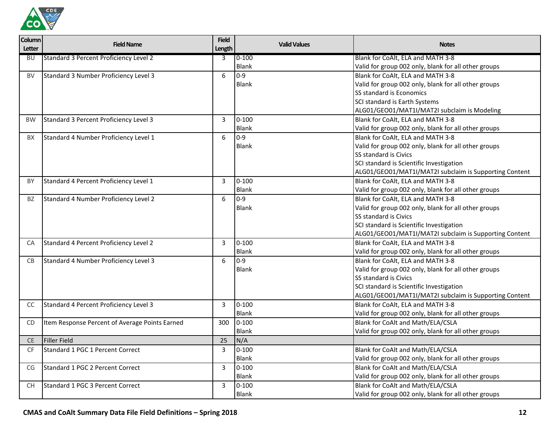

| Column<br><b>Letter</b> | <b>Field Name</b>                              | <b>Field</b><br>Length | <b>Valid Values</b> | <b>Notes</b>                                                                                       |
|-------------------------|------------------------------------------------|------------------------|---------------------|----------------------------------------------------------------------------------------------------|
| <b>BU</b>               | Standard 3 Percent Proficiency Level 2         | 3                      | $0 - 100$           | Blank for CoAlt, ELA and MATH 3-8                                                                  |
|                         |                                                |                        | <b>Blank</b>        | Valid for group 002 only, blank for all other groups                                               |
| <b>BV</b>               | Standard 3 Number Proficiency Level 3          | $6\phantom{1}$         | $0 - 9$             | Blank for CoAlt, ELA and MATH 3-8                                                                  |
|                         |                                                |                        | <b>Blank</b>        | Valid for group 002 only, blank for all other groups                                               |
|                         |                                                |                        |                     | SS standard is Economics                                                                           |
|                         |                                                |                        |                     | SCI standard is Earth Systems                                                                      |
|                         |                                                |                        |                     | ALG01/GEO01/MAT1I/MAT2I subclaim is Modeling                                                       |
| <b>BW</b>               | Standard 3 Percent Proficiency Level 3         | 3                      | $0 - 100$           | Blank for CoAlt, ELA and MATH 3-8                                                                  |
|                         |                                                |                        | <b>Blank</b>        | Valid for group 002 only, blank for all other groups                                               |
| <b>BX</b>               | Standard 4 Number Proficiency Level 1          | 6                      | $0 - 9$             | Blank for CoAlt, ELA and MATH 3-8                                                                  |
|                         |                                                |                        | <b>Blank</b>        | Valid for group 002 only, blank for all other groups                                               |
|                         |                                                |                        |                     | SS standard is Civics                                                                              |
|                         |                                                |                        |                     | SCI standard is Scientific Investigation                                                           |
|                         |                                                |                        |                     | ALG01/GEO01/MAT1I/MAT2I subclaim is Supporting Content                                             |
| <b>BY</b>               | Standard 4 Percent Proficiency Level 1         | 3                      | $0 - 100$           | Blank for CoAlt, ELA and MATH 3-8                                                                  |
|                         |                                                |                        | <b>Blank</b>        | Valid for group 002 only, blank for all other groups                                               |
| <b>BZ</b>               | Standard 4 Number Proficiency Level 2          | 6                      | $0 - 9$             | Blank for CoAlt, ELA and MATH 3-8                                                                  |
|                         |                                                |                        | Blank               | Valid for group 002 only, blank for all other groups                                               |
|                         |                                                |                        |                     | SS standard is Civics                                                                              |
|                         |                                                |                        |                     | SCI standard is Scientific Investigation                                                           |
|                         |                                                |                        |                     | ALG01/GEO01/MAT1I/MAT2I subclaim is Supporting Content                                             |
| CA                      | Standard 4 Percent Proficiency Level 2         | 3                      | $0 - 100$           | Blank for CoAlt, ELA and MATH 3-8                                                                  |
|                         |                                                |                        | <b>Blank</b>        | Valid for group 002 only, blank for all other groups                                               |
| CB                      | Standard 4 Number Proficiency Level 3          | 6                      | $0 - 9$             | Blank for CoAlt, ELA and MATH 3-8                                                                  |
|                         |                                                |                        | <b>Blank</b>        | Valid for group 002 only, blank for all other groups                                               |
|                         |                                                |                        |                     | <b>SS standard is Civics</b>                                                                       |
|                         |                                                |                        |                     | SCI standard is Scientific Investigation<br>ALG01/GEO01/MAT1I/MAT2I subclaim is Supporting Content |
|                         |                                                | 3                      | $0 - 100$           | Blank for CoAlt, ELA and MATH 3-8                                                                  |
| CC                      | Standard 4 Percent Proficiency Level 3         |                        | <b>Blank</b>        | Valid for group 002 only, blank for all other groups                                               |
|                         |                                                | 300                    | $0 - 100$           | Blank for CoAlt and Math/ELA/CSLA                                                                  |
| <b>CD</b>               | Item Response Percent of Average Points Earned |                        | <b>Blank</b>        | Valid for group 002 only, blank for all other groups                                               |
| <b>CE</b>               | Filler Field                                   | 25                     | N/A                 |                                                                                                    |
|                         |                                                |                        |                     |                                                                                                    |
| <b>CF</b>               | Standard 1 PGC 1 Percent Correct               | 3                      | $0 - 100$           | Blank for CoAlt and Math/ELA/CSLA                                                                  |
|                         |                                                |                        | Blank               | Valid for group 002 only, blank for all other groups                                               |
| CG                      | Standard 1 PGC 2 Percent Correct               | 3                      | $0 - 100$<br>Blank  | Blank for CoAlt and Math/ELA/CSLA                                                                  |
|                         |                                                |                        |                     | Valid for group 002 only, blank for all other groups                                               |
| CH.                     | Standard 1 PGC 3 Percent Correct               | $\overline{3}$         | $0 - 100$           | Blank for CoAlt and Math/ELA/CSLA                                                                  |
|                         |                                                |                        | <b>Blank</b>        | Valid for group 002 only, blank for all other groups                                               |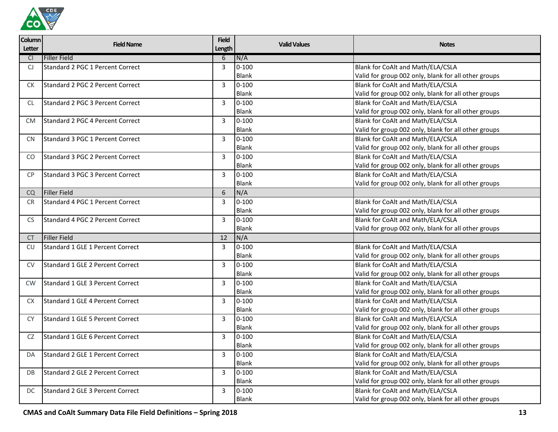

| <b>Column</b><br>Letter | <b>Field Name</b>                | <b>Field</b><br>Length | <b>Valid Values</b> | <b>Notes</b>                                         |
|-------------------------|----------------------------------|------------------------|---------------------|------------------------------------------------------|
| CI.                     | <b>Filler Field</b>              | 6                      | N/A                 |                                                      |
| CJ                      | Standard 2 PGC 1 Percent Correct | 3                      | $0 - 100$           | Blank for CoAlt and Math/ELA/CSLA                    |
|                         |                                  |                        | Blank               | Valid for group 002 only, blank for all other groups |
| CK.                     | Standard 2 PGC 2 Percent Correct | 3                      | $0 - 100$           | Blank for CoAlt and Math/ELA/CSLA                    |
|                         |                                  |                        | <b>Blank</b>        | Valid for group 002 only, blank for all other groups |
| <b>CL</b>               | Standard 2 PGC 3 Percent Correct | 3                      | $0 - 100$           | Blank for CoAlt and Math/ELA/CSLA                    |
|                         |                                  |                        | <b>Blank</b>        | Valid for group 002 only, blank for all other groups |
| <b>CM</b>               | Standard 2 PGC 4 Percent Correct | 3                      | $0 - 100$           | Blank for CoAlt and Math/ELA/CSLA                    |
|                         |                                  |                        | <b>Blank</b>        | Valid for group 002 only, blank for all other groups |
| <b>CN</b>               | Standard 3 PGC 1 Percent Correct | 3                      | $0 - 100$           | Blank for CoAlt and Math/ELA/CSLA                    |
|                         |                                  |                        | <b>Blank</b>        | Valid for group 002 only, blank for all other groups |
| CO                      | Standard 3 PGC 2 Percent Correct | 3                      | $0 - 100$           | Blank for CoAlt and Math/ELA/CSLA                    |
|                         |                                  |                        | <b>Blank</b>        | Valid for group 002 only, blank for all other groups |
| <b>CP</b>               | Standard 3 PGC 3 Percent Correct | 3                      | $0 - 100$           | Blank for CoAlt and Math/ELA/CSLA                    |
|                         |                                  |                        | <b>Blank</b>        | Valid for group 002 only, blank for all other groups |
| CQ                      | <b>Filler Field</b>              | 6                      | N/A                 |                                                      |
| <b>CR</b>               | Standard 4 PGC 1 Percent Correct | 3                      | $0 - 100$           | Blank for CoAlt and Math/ELA/CSLA                    |
|                         |                                  |                        | <b>Blank</b>        | Valid for group 002 only, blank for all other groups |
| <b>CS</b>               | Standard 4 PGC 2 Percent Correct | 3                      | $0 - 100$           | Blank for CoAlt and Math/ELA/CSLA                    |
|                         |                                  |                        | <b>Blank</b>        | Valid for group 002 only, blank for all other groups |
| <b>CT</b>               | <b>Filler Field</b>              | 12                     | N/A                 |                                                      |
| <b>CU</b>               | Standard 1 GLE 1 Percent Correct | 3                      | $0 - 100$           | Blank for CoAlt and Math/ELA/CSLA                    |
|                         |                                  |                        | <b>Blank</b>        | Valid for group 002 only, blank for all other groups |
| <b>CV</b>               | Standard 1 GLE 2 Percent Correct | 3                      | $0 - 100$           | Blank for CoAlt and Math/ELA/CSLA                    |
|                         |                                  |                        | <b>Blank</b>        | Valid for group 002 only, blank for all other groups |
| <b>CW</b>               | Standard 1 GLE 3 Percent Correct | 3                      | $0 - 100$           | Blank for CoAlt and Math/ELA/CSLA                    |
|                         |                                  |                        | Blank               | Valid for group 002 only, blank for all other groups |
| <b>CX</b>               | Standard 1 GLE 4 Percent Correct | 3                      | $0 - 100$           | Blank for CoAlt and Math/ELA/CSLA                    |
|                         |                                  |                        | <b>Blank</b>        | Valid for group 002 only, blank for all other groups |
| <b>CY</b>               | Standard 1 GLE 5 Percent Correct | 3                      | $0 - 100$           | Blank for CoAlt and Math/ELA/CSLA                    |
|                         |                                  |                        | Blank               | Valid for group 002 only, blank for all other groups |
| CZ                      | Standard 1 GLE 6 Percent Correct | 3                      | $0 - 100$           | Blank for CoAlt and Math/ELA/CSLA                    |
|                         |                                  |                        | <b>Blank</b>        | Valid for group 002 only, blank for all other groups |
| DA                      | Standard 2 GLE 1 Percent Correct | 3                      | $0 - 100$           | Blank for CoAlt and Math/ELA/CSLA                    |
|                         |                                  |                        | <b>Blank</b>        | Valid for group 002 only, blank for all other groups |
| DB                      | Standard 2 GLE 2 Percent Correct | 3                      | $0 - 100$           | Blank for CoAlt and Math/ELA/CSLA                    |
|                         |                                  |                        | Blank               | Valid for group 002 only, blank for all other groups |
| DC                      | Standard 2 GLE 3 Percent Correct | 3                      | $0 - 100$           | Blank for CoAlt and Math/ELA/CSLA                    |
|                         |                                  |                        | Blank               | Valid for group 002 only, blank for all other groups |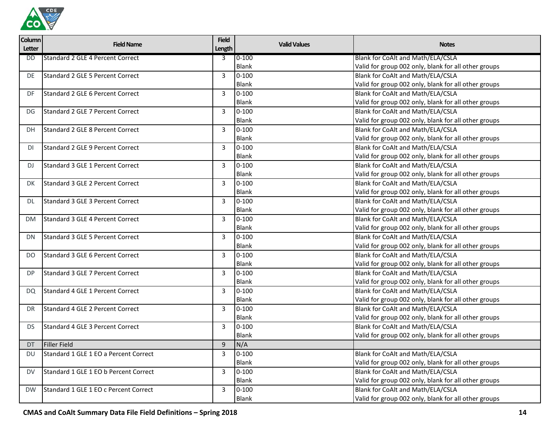

| <b>Column</b><br>Letter | <b>Field Name</b>                       | <b>Field</b><br>Length | <b>Valid Values</b> | <b>Notes</b>                                         |
|-------------------------|-----------------------------------------|------------------------|---------------------|------------------------------------------------------|
| <b>DD</b>               | Standard 2 GLE 4 Percent Correct        | 3                      | $0 - 100$           | Blank for CoAlt and Math/ELA/CSLA                    |
|                         |                                         |                        | <b>Blank</b>        | Valid for group 002 only, blank for all other groups |
| DE                      | <b>Standard 2 GLE 5 Percent Correct</b> | 3                      | $0 - 100$           | Blank for CoAlt and Math/ELA/CSLA                    |
|                         |                                         |                        | Blank               | Valid for group 002 only, blank for all other groups |
| DF                      | Standard 2 GLE 6 Percent Correct        | $\overline{3}$         | $0 - 100$           | Blank for CoAlt and Math/ELA/CSLA                    |
|                         |                                         |                        | <b>Blank</b>        | Valid for group 002 only, blank for all other groups |
| DG.                     | <b>Standard 2 GLE 7 Percent Correct</b> | 3                      | $0 - 100$           | Blank for CoAlt and Math/ELA/CSLA                    |
|                         |                                         |                        | Blank               | Valid for group 002 only, blank for all other groups |
| DH.                     | <b>Standard 2 GLE 8 Percent Correct</b> | 3                      | $0 - 100$           | Blank for CoAlt and Math/ELA/CSLA                    |
|                         |                                         |                        | Blank               | Valid for group 002 only, blank for all other groups |
| DI.                     | <b>Standard 2 GLE 9 Percent Correct</b> | 3                      | $0 - 100$           | Blank for CoAlt and Math/ELA/CSLA                    |
|                         |                                         |                        | Blank               | Valid for group 002 only, blank for all other groups |
| DJ.                     | Standard 3 GLE 1 Percent Correct        | 3                      | $0 - 100$           | Blank for CoAlt and Math/ELA/CSLA                    |
|                         |                                         |                        | <b>Blank</b>        | Valid for group 002 only, blank for all other groups |
| DK.                     | Standard 3 GLE 2 Percent Correct        | 3                      | $0 - 100$           | Blank for CoAlt and Math/ELA/CSLA                    |
|                         |                                         |                        | <b>Blank</b>        | Valid for group 002 only, blank for all other groups |
| DL                      | <b>Standard 3 GLE 3 Percent Correct</b> | 3                      | $0 - 100$           | Blank for CoAlt and Math/ELA/CSLA                    |
|                         |                                         |                        | <b>Blank</b>        | Valid for group 002 only, blank for all other groups |
| <b>DM</b>               | <b>Standard 3 GLE 4 Percent Correct</b> | 3                      | $0 - 100$           | Blank for CoAlt and Math/ELA/CSLA                    |
|                         |                                         |                        | Blank               | Valid for group 002 only, blank for all other groups |
| <b>DN</b>               | Standard 3 GLE 5 Percent Correct        | 3                      | $0 - 100$           | Blank for CoAlt and Math/ELA/CSLA                    |
|                         |                                         |                        | <b>Blank</b>        | Valid for group 002 only, blank for all other groups |
| <sub>DO</sub>           | <b>Standard 3 GLE 6 Percent Correct</b> | 3                      | $0 - 100$           | Blank for CoAlt and Math/ELA/CSLA                    |
|                         |                                         |                        | <b>Blank</b>        | Valid for group 002 only, blank for all other groups |
| DP.                     | Standard 3 GLE 7 Percent Correct        | 3                      | $0 - 100$           | Blank for CoAlt and Math/ELA/CSLA                    |
|                         |                                         |                        | Blank               | Valid for group 002 only, blank for all other groups |
| <b>DQ</b>               | Standard 4 GLE 1 Percent Correct        | 3                      | $0 - 100$           | Blank for CoAlt and Math/ELA/CSLA                    |
|                         |                                         |                        | Blank               | Valid for group 002 only, blank for all other groups |
| <b>DR</b>               | <b>Standard 4 GLE 2 Percent Correct</b> | 3                      | $0 - 100$           | Blank for CoAlt and Math/ELA/CSLA                    |
|                         |                                         |                        | <b>Blank</b>        | Valid for group 002 only, blank for all other groups |
| DS                      | Standard 4 GLE 3 Percent Correct        | 3                      | $0 - 100$           | Blank for CoAlt and Math/ELA/CSLA                    |
|                         |                                         |                        | <b>Blank</b>        | Valid for group 002 only, blank for all other groups |
| DT                      | Filler Field                            | 9                      | N/A                 |                                                      |
| DU                      | Standard 1 GLE 1 EO a Percent Correct   | 3                      | $0 - 100$           | Blank for CoAlt and Math/ELA/CSLA                    |
|                         |                                         |                        | Blank               | Valid for group 002 only, blank for all other groups |
| <b>DV</b>               | Standard 1 GLE 1 EO b Percent Correct   | 3                      | $0 - 100$           | Blank for CoAlt and Math/ELA/CSLA                    |
|                         |                                         |                        | <b>Blank</b>        | Valid for group 002 only, blank for all other groups |
| DW.                     | Standard 1 GLE 1 EO c Percent Correct   | 3                      | $0 - 100$           | Blank for CoAlt and Math/ELA/CSLA                    |
|                         |                                         |                        | Blank               | Valid for group 002 only, blank for all other groups |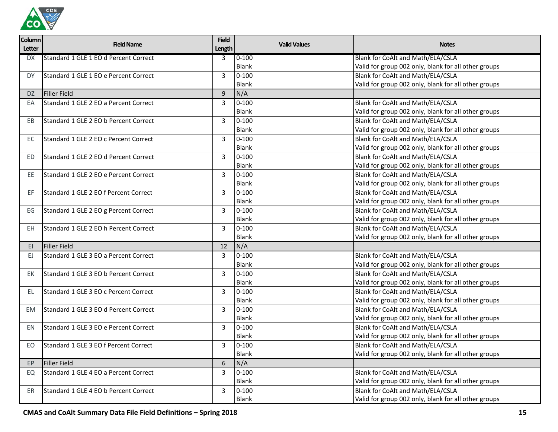

| <b>Column</b><br>Letter | <b>Field Name</b>                     | <b>Field</b><br>Length | <b>Valid Values</b> | <b>Notes</b>                                         |
|-------------------------|---------------------------------------|------------------------|---------------------|------------------------------------------------------|
| <b>DX</b>               | Standard 1 GLE 1 EO d Percent Correct | 3                      | $0 - 100$           | Blank for CoAlt and Math/ELA/CSLA                    |
|                         |                                       |                        | Blank               | Valid for group 002 only, blank for all other groups |
| DY.                     | Standard 1 GLE 1 EO e Percent Correct | 3                      | $0 - 100$           | Blank for CoAlt and Math/ELA/CSLA                    |
|                         |                                       |                        | Blank               | Valid for group 002 only, blank for all other groups |
| DZ.                     | <b>Filler Field</b>                   | 9                      | N/A                 |                                                      |
| EA                      | Standard 1 GLE 2 EO a Percent Correct | 3                      | $0 - 100$           | Blank for CoAlt and Math/ELA/CSLA                    |
|                         |                                       |                        | <b>Blank</b>        | Valid for group 002 only, blank for all other groups |
| EB                      | Standard 1 GLE 2 EO b Percent Correct | 3                      | $0 - 100$           | Blank for CoAlt and Math/ELA/CSLA                    |
|                         |                                       |                        | <b>Blank</b>        | Valid for group 002 only, blank for all other groups |
| <b>EC</b>               | Standard 1 GLE 2 EO c Percent Correct | 3                      | $0 - 100$           | Blank for CoAlt and Math/ELA/CSLA                    |
|                         |                                       |                        | Blank               | Valid for group 002 only, blank for all other groups |
| ED.                     | Standard 1 GLE 2 EO d Percent Correct | 3                      | $0 - 100$           | Blank for CoAlt and Math/ELA/CSLA                    |
|                         |                                       |                        | <b>Blank</b>        | Valid for group 002 only, blank for all other groups |
| EE.                     | Standard 1 GLE 2 EO e Percent Correct | 3                      | $0 - 100$           | Blank for CoAlt and Math/ELA/CSLA                    |
|                         |                                       |                        | <b>Blank</b>        | Valid for group 002 only, blank for all other groups |
| EF.                     | Standard 1 GLE 2 EO f Percent Correct | 3                      | $0 - 100$           | Blank for CoAlt and Math/ELA/CSLA                    |
|                         |                                       |                        | <b>Blank</b>        | Valid for group 002 only, blank for all other groups |
| EG                      | Standard 1 GLE 2 EO g Percent Correct | 3                      | $0 - 100$           | Blank for CoAlt and Math/ELA/CSLA                    |
|                         |                                       |                        | Blank               | Valid for group 002 only, blank for all other groups |
| <b>EH</b>               | Standard 1 GLE 2 EO h Percent Correct | 3                      | $0 - 100$           | Blank for CoAlt and Math/ELA/CSLA                    |
|                         |                                       |                        | <b>Blank</b>        | Valid for group 002 only, blank for all other groups |
| EI                      | <b>Filler Field</b>                   | 12                     | N/A                 |                                                      |
| EJ.                     | Standard 1 GLE 3 EO a Percent Correct | 3                      | $0 - 100$           | Blank for CoAlt and Math/ELA/CSLA                    |
|                         |                                       |                        | <b>Blank</b>        | Valid for group 002 only, blank for all other groups |
| EK                      | Standard 1 GLE 3 EO b Percent Correct | 3                      | $0 - 100$           | Blank for CoAlt and Math/ELA/CSLA                    |
|                         |                                       |                        | Blank               | Valid for group 002 only, blank for all other groups |
| EL.                     | Standard 1 GLE 3 EO c Percent Correct | 3                      | $0 - 100$           | Blank for CoAlt and Math/ELA/CSLA                    |
|                         |                                       |                        | <b>Blank</b>        | Valid for group 002 only, blank for all other groups |
| EM                      | Standard 1 GLE 3 EO d Percent Correct | 3                      | $0 - 100$           | Blank for CoAlt and Math/ELA/CSLA                    |
|                         |                                       |                        | Blank               | Valid for group 002 only, blank for all other groups |
| EN                      | Standard 1 GLE 3 EO e Percent Correct | 3                      | $0 - 100$           | Blank for CoAlt and Math/ELA/CSLA                    |
|                         |                                       |                        | <b>Blank</b>        | Valid for group 002 only, blank for all other groups |
| EO.                     | Standard 1 GLE 3 EO f Percent Correct | 3                      | $0 - 100$           | Blank for CoAlt and Math/ELA/CSLA                    |
|                         |                                       |                        | Blank               | Valid for group 002 only, blank for all other groups |
| EP                      | Filler Field                          | 6                      | N/A                 |                                                      |
| EQ                      | Standard 1 GLE 4 EO a Percent Correct | 3                      | $0 - 100$           | Blank for CoAlt and Math/ELA/CSLA                    |
|                         |                                       |                        | Blank               | Valid for group 002 only, blank for all other groups |
| ER                      | Standard 1 GLE 4 EO b Percent Correct | 3                      | $0 - 100$           | Blank for CoAlt and Math/ELA/CSLA                    |
|                         |                                       |                        | Blank               | Valid for group 002 only, blank for all other groups |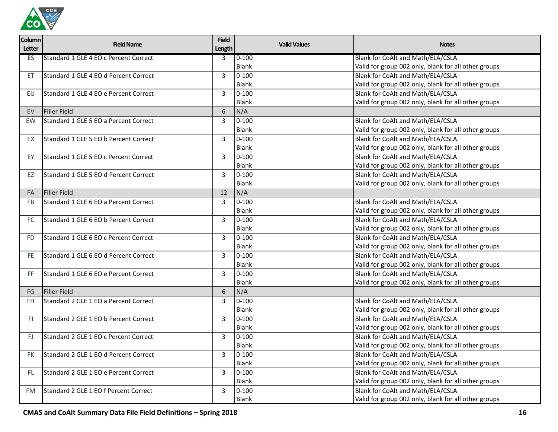

| Column<br>Letter | <b>Field Name</b>                            | <b>Field</b><br>Length | <b>Valid Values</b> | <b>Notes</b>                                         |
|------------------|----------------------------------------------|------------------------|---------------------|------------------------------------------------------|
| ES               | Standard 1 GLE 4 EO c Percent Correct        | 3                      | $0 - 100$           | Blank for CoAlt and Math/ELA/CSLA                    |
|                  |                                              |                        | <b>Blank</b>        | Valid for group 002 only, blank for all other groups |
| ET.              | Standard 1 GLE 4 EO d Percent Correct        | 3                      | $0 - 100$           | Blank for CoAlt and Math/ELA/CSLA                    |
|                  |                                              |                        | <b>Blank</b>        | Valid for group 002 only, blank for all other groups |
| EU               | Standard 1 GLE 4 EO e Percent Correct        | $\overline{3}$         | $0 - 100$           | Blank for CoAlt and Math/ELA/CSLA                    |
|                  |                                              |                        | <b>Blank</b>        | Valid for group 002 only, blank for all other groups |
| EV               | Filler Field                                 | 6                      | N/A                 |                                                      |
| EW               | Standard 1 GLE 5 EO a Percent Correct        | 3                      | $0 - 100$           | Blank for CoAlt and Math/ELA/CSLA                    |
|                  |                                              |                        | <b>Blank</b>        | Valid for group 002 only, blank for all other groups |
| EX               | Standard 1 GLE 5 EO b Percent Correct        | 3                      | $0 - 100$           | Blank for CoAlt and Math/ELA/CSLA                    |
|                  |                                              |                        | <b>Blank</b>        | Valid for group 002 only, blank for all other groups |
| EY               | Standard 1 GLE 5 EO c Percent Correct        | 3                      | $0 - 100$           | Blank for CoAlt and Math/ELA/CSLA                    |
|                  |                                              |                        | <b>Blank</b>        | Valid for group 002 only, blank for all other groups |
| EZ               | Standard 1 GLE 5 EO d Percent Correct        | 3                      | $0 - 100$           | Blank for CoAlt and Math/ELA/CSLA                    |
|                  |                                              |                        | <b>Blank</b>        | Valid for group 002 only, blank for all other groups |
| <b>FA</b>        | Filler Field                                 | 12                     | N/A                 |                                                      |
| <b>FB</b>        | Standard 1 GLE 6 EO a Percent Correct        | 3                      | $0 - 100$           | Blank for CoAlt and Math/ELA/CSLA                    |
|                  |                                              |                        | Blank               | Valid for group 002 only, blank for all other groups |
| FC               | Standard 1 GLE 6 EO b Percent Correct        | 3                      | $0 - 100$           | Blank for CoAlt and Math/ELA/CSLA                    |
|                  |                                              |                        | <b>Blank</b>        | Valid for group 002 only, blank for all other groups |
| FD.              | Standard 1 GLE 6 EO c Percent Correct        | $\overline{3}$         | $0 - 100$           | Blank for CoAlt and Math/ELA/CSLA                    |
|                  |                                              |                        | <b>Blank</b>        | Valid for group 002 only, blank for all other groups |
| FE.              | Standard 1 GLE 6 EO d Percent Correct        | 3                      | $0 - 100$           | Blank for CoAlt and Math/ELA/CSLA                    |
|                  |                                              |                        | <b>Blank</b>        | Valid for group 002 only, blank for all other groups |
| FF.              | Standard 1 GLE 6 EO e Percent Correct        | 3                      | $0 - 100$           | Blank for CoAlt and Math/ELA/CSLA                    |
|                  |                                              |                        | <b>Blank</b>        | Valid for group 002 only, blank for all other groups |
| FG               | Filler Field                                 | 6                      | N/A                 |                                                      |
| FH               | <b>Standard 2 GLE 1 EO a Percent Correct</b> | 3                      | $0 - 100$           | Blank for CoAlt and Math/ELA/CSLA                    |
|                  |                                              |                        | <b>Blank</b>        | Valid for group 002 only, blank for all other groups |
| FI.              | Standard 2 GLE 1 EO b Percent Correct        | 3                      | $0 - 100$           | Blank for CoAlt and Math/ELA/CSLA                    |
|                  |                                              |                        | <b>Blank</b>        | Valid for group 002 only, blank for all other groups |
| FJ.              | Standard 2 GLE 1 EO c Percent Correct        | 3                      | $0 - 100$           | Blank for CoAlt and Math/ELA/CSLA                    |
|                  |                                              |                        | <b>Blank</b>        | Valid for group 002 only, blank for all other groups |
| FK               | Standard 2 GLE 1 EO d Percent Correct        | 3                      | $0 - 100$           | Blank for CoAlt and Math/ELA/CSLA                    |
|                  |                                              |                        | <b>Blank</b>        | Valid for group 002 only, blank for all other groups |
| FL.              | Standard 2 GLE 1 EO e Percent Correct        | 3                      | $0 - 100$           | Blank for CoAlt and Math/ELA/CSLA                    |
|                  |                                              |                        | <b>Blank</b>        | Valid for group 002 only, blank for all other groups |
| FM               | Standard 2 GLE 1 EO f Percent Correct        | 3                      | $0 - 100$           | Blank for CoAlt and Math/ELA/CSLA                    |
|                  |                                              |                        | Blank               | Valid for group 002 only, blank for all other groups |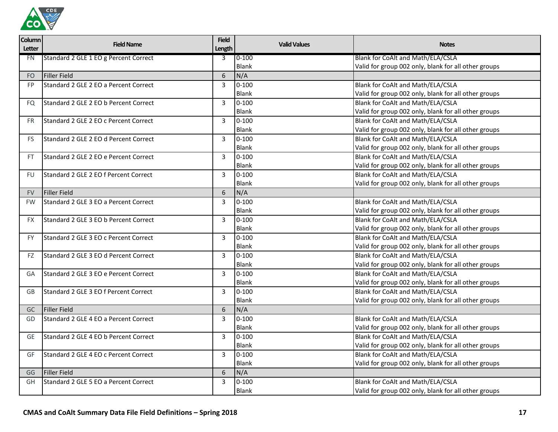

| <b>Column</b><br>Letter | <b>Field Name</b>                     | <b>Field</b><br>Length | <b>Valid Values</b> | <b>Notes</b>                                         |
|-------------------------|---------------------------------------|------------------------|---------------------|------------------------------------------------------|
| <b>FN</b>               | Standard 2 GLE 1 EO g Percent Correct | 3                      | $0 - 100$           | Blank for CoAlt and Math/ELA/CSLA                    |
|                         |                                       |                        | <b>Blank</b>        | Valid for group 002 only, blank for all other groups |
| <b>FO</b>               | <b>Filler Field</b>                   | 6                      | N/A                 |                                                      |
| <b>FP</b>               | Standard 2 GLE 2 EO a Percent Correct | $\overline{3}$         | $0 - 100$           | Blank for CoAlt and Math/ELA/CSLA                    |
|                         |                                       |                        | <b>Blank</b>        | Valid for group 002 only, blank for all other groups |
| FQ                      | Standard 2 GLE 2 EO b Percent Correct | $\overline{3}$         | $0 - 100$           | Blank for CoAlt and Math/ELA/CSLA                    |
|                         |                                       |                        | <b>Blank</b>        | Valid for group 002 only, blank for all other groups |
| FR                      | Standard 2 GLE 2 EO c Percent Correct | $\overline{3}$         | $0 - 100$           | Blank for CoAlt and Math/ELA/CSLA                    |
|                         |                                       |                        | <b>Blank</b>        | Valid for group 002 only, blank for all other groups |
| FS.                     | Standard 2 GLE 2 EO d Percent Correct | 3                      | $0 - 100$           | Blank for CoAlt and Math/ELA/CSLA                    |
|                         |                                       |                        | <b>Blank</b>        | Valid for group 002 only, blank for all other groups |
| FT.                     | Standard 2 GLE 2 EO e Percent Correct | $\overline{3}$         | $0 - 100$           | Blank for CoAlt and Math/ELA/CSLA                    |
|                         |                                       |                        | <b>Blank</b>        | Valid for group 002 only, blank for all other groups |
| <b>FU</b>               | Standard 2 GLE 2 EO f Percent Correct | $\overline{3}$         | $0 - 100$           | Blank for CoAlt and Math/ELA/CSLA                    |
|                         |                                       |                        | <b>Blank</b>        | Valid for group 002 only, blank for all other groups |
| <b>FV</b>               | Filler Field                          | 6                      | N/A                 |                                                      |
| <b>FW</b>               | Standard 2 GLE 3 EO a Percent Correct | $\overline{3}$         | $0 - 100$           | Blank for CoAlt and Math/ELA/CSLA                    |
|                         |                                       |                        | <b>Blank</b>        | Valid for group 002 only, blank for all other groups |
| <b>FX</b>               | Standard 2 GLE 3 EO b Percent Correct | 3                      | $0 - 100$           | Blank for CoAlt and Math/ELA/CSLA                    |
|                         |                                       |                        | <b>Blank</b>        | Valid for group 002 only, blank for all other groups |
| <b>FY</b>               | Standard 2 GLE 3 EO c Percent Correct | 3                      | $0 - 100$           | Blank for CoAlt and Math/ELA/CSLA                    |
|                         |                                       |                        | <b>Blank</b>        | Valid for group 002 only, blank for all other groups |
| FZ                      | Standard 2 GLE 3 EO d Percent Correct | 3                      | $0 - 100$           | Blank for CoAlt and Math/ELA/CSLA                    |
|                         |                                       |                        | Blank               | Valid for group 002 only, blank for all other groups |
| GA                      | Standard 2 GLE 3 EO e Percent Correct | $\overline{3}$         | $0 - 100$           | Blank for CoAlt and Math/ELA/CSLA                    |
|                         |                                       |                        | <b>Blank</b>        | Valid for group 002 only, blank for all other groups |
| <b>GB</b>               | Standard 2 GLE 3 EO f Percent Correct | 3                      | $0 - 100$           | Blank for CoAlt and Math/ELA/CSLA                    |
|                         |                                       |                        | Blank               | Valid for group 002 only, blank for all other groups |
| GC                      | Filler Field                          | $6\phantom{1}$         | N/A                 |                                                      |
| GD                      | Standard 2 GLE 4 EO a Percent Correct | $\overline{3}$         | $0 - 100$           | Blank for CoAlt and Math/ELA/CSLA                    |
|                         |                                       |                        | <b>Blank</b>        | Valid for group 002 only, blank for all other groups |
| <b>GE</b>               | Standard 2 GLE 4 EO b Percent Correct | 3                      | $0 - 100$           | Blank for CoAlt and Math/ELA/CSLA                    |
|                         |                                       |                        | <b>Blank</b>        | Valid for group 002 only, blank for all other groups |
| GF                      | Standard 2 GLE 4 EO c Percent Correct | 3                      | $0 - 100$           | Blank for CoAlt and Math/ELA/CSLA                    |
|                         |                                       |                        | Blank               | Valid for group 002 only, blank for all other groups |
| GG                      | <b>Filler Field</b>                   | 6                      | N/A                 |                                                      |
| GH                      | Standard 2 GLE 5 EO a Percent Correct | 3                      | $0 - 100$           | Blank for CoAlt and Math/ELA/CSLA                    |
|                         |                                       |                        | <b>Blank</b>        | Valid for group 002 only, blank for all other groups |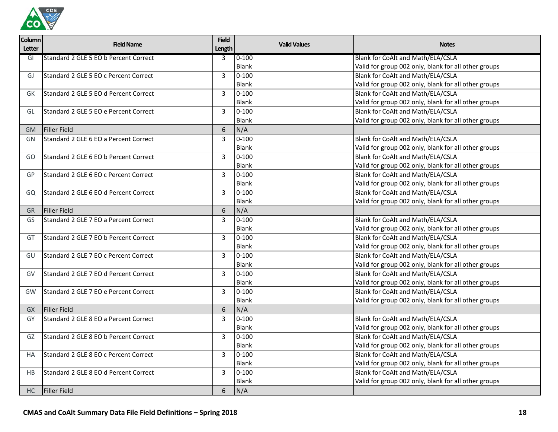

| $0 - 100$<br>Blank for CoAlt and Math/ELA/CSLA<br>GI<br>3<br>Blank<br>Valid for group 002 only, blank for all other groups<br>$\overline{3}$<br>Blank for CoAlt and Math/ELA/CSLA<br>Standard 2 GLE 5 EO c Percent Correct<br>$0 - 100$<br>GJ<br><b>Blank</b><br>Valid for group 002 only, blank for all other groups<br>Blank for CoAlt and Math/ELA/CSLA<br>Standard 2 GLE 5 EO d Percent Correct<br>$\overline{3}$<br>$0 - 100$<br>GK<br>Blank<br>Valid for group 002 only, blank for all other groups<br>Blank for CoAlt and Math/ELA/CSLA<br>$\overline{3}$<br>$0 - 100$<br>Standard 2 GLE 5 EO e Percent Correct<br>GL<br>Valid for group 002 only, blank for all other groups<br><b>Blank</b><br>6<br>N/A<br>Filler Field<br><b>GM</b><br>Standard 2 GLE 6 EO a Percent Correct<br>$0 - 100$<br>Blank for CoAlt and Math/ELA/CSLA<br>3<br>GN<br><b>Blank</b><br>Valid for group 002 only, blank for all other groups<br>Blank for CoAlt and Math/ELA/CSLA<br>$\overline{3}$<br>Standard 2 GLE 6 EO b Percent Correct<br>$0 - 100$<br>GO<br><b>Blank</b><br>Valid for group 002 only, blank for all other groups<br>Blank for CoAlt and Math/ELA/CSLA<br>Standard 2 GLE 6 EO c Percent Correct<br>$\overline{3}$<br>$0 - 100$<br>GP<br><b>Blank</b><br>Valid for group 002 only, blank for all other groups<br>Blank for CoAlt and Math/ELA/CSLA<br>$0 - 100$<br>Standard 2 GLE 6 EO d Percent Correct<br>3<br>GQ<br><b>Blank</b><br>Valid for group 002 only, blank for all other groups<br>6<br>N/A<br><b>GR</b><br><b>Filler Field</b><br>Blank for CoAlt and Math/ELA/CSLA<br>GS<br>Standard 2 GLE 7 EO a Percent Correct<br>3<br>$0 - 100$<br><b>Blank</b><br>Valid for group 002 only, blank for all other groups<br>$0 - 100$<br>Blank for CoAlt and Math/ELA/CSLA<br>$\overline{3}$<br>Standard 2 GLE 7 EO b Percent Correct<br>GT<br><b>Blank</b><br>Valid for group 002 only, blank for all other groups<br>$\overline{3}$<br>$0 - 100$<br>Blank for CoAlt and Math/ELA/CSLA<br>Standard 2 GLE 7 EO c Percent Correct<br>GU<br><b>Blank</b><br>Valid for group 002 only, blank for all other groups<br>Blank for CoAlt and Math/ELA/CSLA<br>$\overline{3}$<br>Standard 2 GLE 7 EO d Percent Correct<br>$0 - 100$<br>GV<br><b>Blank</b><br>Valid for group 002 only, blank for all other groups<br>$0 - 100$<br>Blank for CoAlt and Math/ELA/CSLA<br>Standard 2 GLE 7 EO e Percent Correct<br>3<br>GW<br>Blank<br>Valid for group 002 only, blank for all other groups<br>N/A<br><b>Filler Field</b><br>6<br><b>GX</b><br>Blank for CoAlt and Math/ELA/CSLA<br>GY<br>Standard 2 GLE 8 EO a Percent Correct<br>$\overline{3}$<br>$0 - 100$<br>Blank<br>Valid for group 002 only, blank for all other groups<br>Blank for CoAlt and Math/ELA/CSLA<br>Standard 2 GLE 8 EO b Percent Correct<br>3<br>$0 - 100$<br>GZ<br>Blank<br>Valid for group 002 only, blank for all other groups<br>$0 - 100$<br>Blank for CoAlt and Math/ELA/CSLA<br>Standard 2 GLE 8 EO c Percent Correct<br>$\overline{3}$<br><b>HA</b><br>Blank<br>Valid for group 002 only, blank for all other groups<br>$\overline{3}$<br>$0 - 100$<br>Blank for CoAlt and Math/ELA/CSLA<br>Standard 2 GLE 8 EO d Percent Correct<br>HB.<br>Valid for group 002 only, blank for all other groups<br><b>Blank</b><br>N/A<br>Filler Field<br>6<br>HC | Column<br>Letter | <b>Field Name</b>                     | <b>Field</b><br>Length | <b>Valid Values</b> | <b>Notes</b> |
|---------------------------------------------------------------------------------------------------------------------------------------------------------------------------------------------------------------------------------------------------------------------------------------------------------------------------------------------------------------------------------------------------------------------------------------------------------------------------------------------------------------------------------------------------------------------------------------------------------------------------------------------------------------------------------------------------------------------------------------------------------------------------------------------------------------------------------------------------------------------------------------------------------------------------------------------------------------------------------------------------------------------------------------------------------------------------------------------------------------------------------------------------------------------------------------------------------------------------------------------------------------------------------------------------------------------------------------------------------------------------------------------------------------------------------------------------------------------------------------------------------------------------------------------------------------------------------------------------------------------------------------------------------------------------------------------------------------------------------------------------------------------------------------------------------------------------------------------------------------------------------------------------------------------------------------------------------------------------------------------------------------------------------------------------------------------------------------------------------------------------------------------------------------------------------------------------------------------------------------------------------------------------------------------------------------------------------------------------------------------------------------------------------------------------------------------------------------------------------------------------------------------------------------------------------------------------------------------------------------------------------------------------------------------------------------------------------------------------------------------------------------------------------------------------------------------------------------------------------------------------------------------------------------------------------------------------------------------------------------------------------------------------------------------------------------------------------------------------------------------------------------------------------------------------------------------------------------------------------------------------------------------------------------------------------------------------|------------------|---------------------------------------|------------------------|---------------------|--------------|
|                                                                                                                                                                                                                                                                                                                                                                                                                                                                                                                                                                                                                                                                                                                                                                                                                                                                                                                                                                                                                                                                                                                                                                                                                                                                                                                                                                                                                                                                                                                                                                                                                                                                                                                                                                                                                                                                                                                                                                                                                                                                                                                                                                                                                                                                                                                                                                                                                                                                                                                                                                                                                                                                                                                                                                                                                                                                                                                                                                                                                                                                                                                                                                                                                                                                                                                           |                  | Standard 2 GLE 5 EO b Percent Correct |                        |                     |              |
|                                                                                                                                                                                                                                                                                                                                                                                                                                                                                                                                                                                                                                                                                                                                                                                                                                                                                                                                                                                                                                                                                                                                                                                                                                                                                                                                                                                                                                                                                                                                                                                                                                                                                                                                                                                                                                                                                                                                                                                                                                                                                                                                                                                                                                                                                                                                                                                                                                                                                                                                                                                                                                                                                                                                                                                                                                                                                                                                                                                                                                                                                                                                                                                                                                                                                                                           |                  |                                       |                        |                     |              |
|                                                                                                                                                                                                                                                                                                                                                                                                                                                                                                                                                                                                                                                                                                                                                                                                                                                                                                                                                                                                                                                                                                                                                                                                                                                                                                                                                                                                                                                                                                                                                                                                                                                                                                                                                                                                                                                                                                                                                                                                                                                                                                                                                                                                                                                                                                                                                                                                                                                                                                                                                                                                                                                                                                                                                                                                                                                                                                                                                                                                                                                                                                                                                                                                                                                                                                                           |                  |                                       |                        |                     |              |
|                                                                                                                                                                                                                                                                                                                                                                                                                                                                                                                                                                                                                                                                                                                                                                                                                                                                                                                                                                                                                                                                                                                                                                                                                                                                                                                                                                                                                                                                                                                                                                                                                                                                                                                                                                                                                                                                                                                                                                                                                                                                                                                                                                                                                                                                                                                                                                                                                                                                                                                                                                                                                                                                                                                                                                                                                                                                                                                                                                                                                                                                                                                                                                                                                                                                                                                           |                  |                                       |                        |                     |              |
|                                                                                                                                                                                                                                                                                                                                                                                                                                                                                                                                                                                                                                                                                                                                                                                                                                                                                                                                                                                                                                                                                                                                                                                                                                                                                                                                                                                                                                                                                                                                                                                                                                                                                                                                                                                                                                                                                                                                                                                                                                                                                                                                                                                                                                                                                                                                                                                                                                                                                                                                                                                                                                                                                                                                                                                                                                                                                                                                                                                                                                                                                                                                                                                                                                                                                                                           |                  |                                       |                        |                     |              |
|                                                                                                                                                                                                                                                                                                                                                                                                                                                                                                                                                                                                                                                                                                                                                                                                                                                                                                                                                                                                                                                                                                                                                                                                                                                                                                                                                                                                                                                                                                                                                                                                                                                                                                                                                                                                                                                                                                                                                                                                                                                                                                                                                                                                                                                                                                                                                                                                                                                                                                                                                                                                                                                                                                                                                                                                                                                                                                                                                                                                                                                                                                                                                                                                                                                                                                                           |                  |                                       |                        |                     |              |
|                                                                                                                                                                                                                                                                                                                                                                                                                                                                                                                                                                                                                                                                                                                                                                                                                                                                                                                                                                                                                                                                                                                                                                                                                                                                                                                                                                                                                                                                                                                                                                                                                                                                                                                                                                                                                                                                                                                                                                                                                                                                                                                                                                                                                                                                                                                                                                                                                                                                                                                                                                                                                                                                                                                                                                                                                                                                                                                                                                                                                                                                                                                                                                                                                                                                                                                           |                  |                                       |                        |                     |              |
|                                                                                                                                                                                                                                                                                                                                                                                                                                                                                                                                                                                                                                                                                                                                                                                                                                                                                                                                                                                                                                                                                                                                                                                                                                                                                                                                                                                                                                                                                                                                                                                                                                                                                                                                                                                                                                                                                                                                                                                                                                                                                                                                                                                                                                                                                                                                                                                                                                                                                                                                                                                                                                                                                                                                                                                                                                                                                                                                                                                                                                                                                                                                                                                                                                                                                                                           |                  |                                       |                        |                     |              |
|                                                                                                                                                                                                                                                                                                                                                                                                                                                                                                                                                                                                                                                                                                                                                                                                                                                                                                                                                                                                                                                                                                                                                                                                                                                                                                                                                                                                                                                                                                                                                                                                                                                                                                                                                                                                                                                                                                                                                                                                                                                                                                                                                                                                                                                                                                                                                                                                                                                                                                                                                                                                                                                                                                                                                                                                                                                                                                                                                                                                                                                                                                                                                                                                                                                                                                                           |                  |                                       |                        |                     |              |
|                                                                                                                                                                                                                                                                                                                                                                                                                                                                                                                                                                                                                                                                                                                                                                                                                                                                                                                                                                                                                                                                                                                                                                                                                                                                                                                                                                                                                                                                                                                                                                                                                                                                                                                                                                                                                                                                                                                                                                                                                                                                                                                                                                                                                                                                                                                                                                                                                                                                                                                                                                                                                                                                                                                                                                                                                                                                                                                                                                                                                                                                                                                                                                                                                                                                                                                           |                  |                                       |                        |                     |              |
|                                                                                                                                                                                                                                                                                                                                                                                                                                                                                                                                                                                                                                                                                                                                                                                                                                                                                                                                                                                                                                                                                                                                                                                                                                                                                                                                                                                                                                                                                                                                                                                                                                                                                                                                                                                                                                                                                                                                                                                                                                                                                                                                                                                                                                                                                                                                                                                                                                                                                                                                                                                                                                                                                                                                                                                                                                                                                                                                                                                                                                                                                                                                                                                                                                                                                                                           |                  |                                       |                        |                     |              |
|                                                                                                                                                                                                                                                                                                                                                                                                                                                                                                                                                                                                                                                                                                                                                                                                                                                                                                                                                                                                                                                                                                                                                                                                                                                                                                                                                                                                                                                                                                                                                                                                                                                                                                                                                                                                                                                                                                                                                                                                                                                                                                                                                                                                                                                                                                                                                                                                                                                                                                                                                                                                                                                                                                                                                                                                                                                                                                                                                                                                                                                                                                                                                                                                                                                                                                                           |                  |                                       |                        |                     |              |
|                                                                                                                                                                                                                                                                                                                                                                                                                                                                                                                                                                                                                                                                                                                                                                                                                                                                                                                                                                                                                                                                                                                                                                                                                                                                                                                                                                                                                                                                                                                                                                                                                                                                                                                                                                                                                                                                                                                                                                                                                                                                                                                                                                                                                                                                                                                                                                                                                                                                                                                                                                                                                                                                                                                                                                                                                                                                                                                                                                                                                                                                                                                                                                                                                                                                                                                           |                  |                                       |                        |                     |              |
|                                                                                                                                                                                                                                                                                                                                                                                                                                                                                                                                                                                                                                                                                                                                                                                                                                                                                                                                                                                                                                                                                                                                                                                                                                                                                                                                                                                                                                                                                                                                                                                                                                                                                                                                                                                                                                                                                                                                                                                                                                                                                                                                                                                                                                                                                                                                                                                                                                                                                                                                                                                                                                                                                                                                                                                                                                                                                                                                                                                                                                                                                                                                                                                                                                                                                                                           |                  |                                       |                        |                     |              |
|                                                                                                                                                                                                                                                                                                                                                                                                                                                                                                                                                                                                                                                                                                                                                                                                                                                                                                                                                                                                                                                                                                                                                                                                                                                                                                                                                                                                                                                                                                                                                                                                                                                                                                                                                                                                                                                                                                                                                                                                                                                                                                                                                                                                                                                                                                                                                                                                                                                                                                                                                                                                                                                                                                                                                                                                                                                                                                                                                                                                                                                                                                                                                                                                                                                                                                                           |                  |                                       |                        |                     |              |
|                                                                                                                                                                                                                                                                                                                                                                                                                                                                                                                                                                                                                                                                                                                                                                                                                                                                                                                                                                                                                                                                                                                                                                                                                                                                                                                                                                                                                                                                                                                                                                                                                                                                                                                                                                                                                                                                                                                                                                                                                                                                                                                                                                                                                                                                                                                                                                                                                                                                                                                                                                                                                                                                                                                                                                                                                                                                                                                                                                                                                                                                                                                                                                                                                                                                                                                           |                  |                                       |                        |                     |              |
|                                                                                                                                                                                                                                                                                                                                                                                                                                                                                                                                                                                                                                                                                                                                                                                                                                                                                                                                                                                                                                                                                                                                                                                                                                                                                                                                                                                                                                                                                                                                                                                                                                                                                                                                                                                                                                                                                                                                                                                                                                                                                                                                                                                                                                                                                                                                                                                                                                                                                                                                                                                                                                                                                                                                                                                                                                                                                                                                                                                                                                                                                                                                                                                                                                                                                                                           |                  |                                       |                        |                     |              |
|                                                                                                                                                                                                                                                                                                                                                                                                                                                                                                                                                                                                                                                                                                                                                                                                                                                                                                                                                                                                                                                                                                                                                                                                                                                                                                                                                                                                                                                                                                                                                                                                                                                                                                                                                                                                                                                                                                                                                                                                                                                                                                                                                                                                                                                                                                                                                                                                                                                                                                                                                                                                                                                                                                                                                                                                                                                                                                                                                                                                                                                                                                                                                                                                                                                                                                                           |                  |                                       |                        |                     |              |
|                                                                                                                                                                                                                                                                                                                                                                                                                                                                                                                                                                                                                                                                                                                                                                                                                                                                                                                                                                                                                                                                                                                                                                                                                                                                                                                                                                                                                                                                                                                                                                                                                                                                                                                                                                                                                                                                                                                                                                                                                                                                                                                                                                                                                                                                                                                                                                                                                                                                                                                                                                                                                                                                                                                                                                                                                                                                                                                                                                                                                                                                                                                                                                                                                                                                                                                           |                  |                                       |                        |                     |              |
|                                                                                                                                                                                                                                                                                                                                                                                                                                                                                                                                                                                                                                                                                                                                                                                                                                                                                                                                                                                                                                                                                                                                                                                                                                                                                                                                                                                                                                                                                                                                                                                                                                                                                                                                                                                                                                                                                                                                                                                                                                                                                                                                                                                                                                                                                                                                                                                                                                                                                                                                                                                                                                                                                                                                                                                                                                                                                                                                                                                                                                                                                                                                                                                                                                                                                                                           |                  |                                       |                        |                     |              |
|                                                                                                                                                                                                                                                                                                                                                                                                                                                                                                                                                                                                                                                                                                                                                                                                                                                                                                                                                                                                                                                                                                                                                                                                                                                                                                                                                                                                                                                                                                                                                                                                                                                                                                                                                                                                                                                                                                                                                                                                                                                                                                                                                                                                                                                                                                                                                                                                                                                                                                                                                                                                                                                                                                                                                                                                                                                                                                                                                                                                                                                                                                                                                                                                                                                                                                                           |                  |                                       |                        |                     |              |
|                                                                                                                                                                                                                                                                                                                                                                                                                                                                                                                                                                                                                                                                                                                                                                                                                                                                                                                                                                                                                                                                                                                                                                                                                                                                                                                                                                                                                                                                                                                                                                                                                                                                                                                                                                                                                                                                                                                                                                                                                                                                                                                                                                                                                                                                                                                                                                                                                                                                                                                                                                                                                                                                                                                                                                                                                                                                                                                                                                                                                                                                                                                                                                                                                                                                                                                           |                  |                                       |                        |                     |              |
|                                                                                                                                                                                                                                                                                                                                                                                                                                                                                                                                                                                                                                                                                                                                                                                                                                                                                                                                                                                                                                                                                                                                                                                                                                                                                                                                                                                                                                                                                                                                                                                                                                                                                                                                                                                                                                                                                                                                                                                                                                                                                                                                                                                                                                                                                                                                                                                                                                                                                                                                                                                                                                                                                                                                                                                                                                                                                                                                                                                                                                                                                                                                                                                                                                                                                                                           |                  |                                       |                        |                     |              |
|                                                                                                                                                                                                                                                                                                                                                                                                                                                                                                                                                                                                                                                                                                                                                                                                                                                                                                                                                                                                                                                                                                                                                                                                                                                                                                                                                                                                                                                                                                                                                                                                                                                                                                                                                                                                                                                                                                                                                                                                                                                                                                                                                                                                                                                                                                                                                                                                                                                                                                                                                                                                                                                                                                                                                                                                                                                                                                                                                                                                                                                                                                                                                                                                                                                                                                                           |                  |                                       |                        |                     |              |
|                                                                                                                                                                                                                                                                                                                                                                                                                                                                                                                                                                                                                                                                                                                                                                                                                                                                                                                                                                                                                                                                                                                                                                                                                                                                                                                                                                                                                                                                                                                                                                                                                                                                                                                                                                                                                                                                                                                                                                                                                                                                                                                                                                                                                                                                                                                                                                                                                                                                                                                                                                                                                                                                                                                                                                                                                                                                                                                                                                                                                                                                                                                                                                                                                                                                                                                           |                  |                                       |                        |                     |              |
|                                                                                                                                                                                                                                                                                                                                                                                                                                                                                                                                                                                                                                                                                                                                                                                                                                                                                                                                                                                                                                                                                                                                                                                                                                                                                                                                                                                                                                                                                                                                                                                                                                                                                                                                                                                                                                                                                                                                                                                                                                                                                                                                                                                                                                                                                                                                                                                                                                                                                                                                                                                                                                                                                                                                                                                                                                                                                                                                                                                                                                                                                                                                                                                                                                                                                                                           |                  |                                       |                        |                     |              |
|                                                                                                                                                                                                                                                                                                                                                                                                                                                                                                                                                                                                                                                                                                                                                                                                                                                                                                                                                                                                                                                                                                                                                                                                                                                                                                                                                                                                                                                                                                                                                                                                                                                                                                                                                                                                                                                                                                                                                                                                                                                                                                                                                                                                                                                                                                                                                                                                                                                                                                                                                                                                                                                                                                                                                                                                                                                                                                                                                                                                                                                                                                                                                                                                                                                                                                                           |                  |                                       |                        |                     |              |
|                                                                                                                                                                                                                                                                                                                                                                                                                                                                                                                                                                                                                                                                                                                                                                                                                                                                                                                                                                                                                                                                                                                                                                                                                                                                                                                                                                                                                                                                                                                                                                                                                                                                                                                                                                                                                                                                                                                                                                                                                                                                                                                                                                                                                                                                                                                                                                                                                                                                                                                                                                                                                                                                                                                                                                                                                                                                                                                                                                                                                                                                                                                                                                                                                                                                                                                           |                  |                                       |                        |                     |              |
|                                                                                                                                                                                                                                                                                                                                                                                                                                                                                                                                                                                                                                                                                                                                                                                                                                                                                                                                                                                                                                                                                                                                                                                                                                                                                                                                                                                                                                                                                                                                                                                                                                                                                                                                                                                                                                                                                                                                                                                                                                                                                                                                                                                                                                                                                                                                                                                                                                                                                                                                                                                                                                                                                                                                                                                                                                                                                                                                                                                                                                                                                                                                                                                                                                                                                                                           |                  |                                       |                        |                     |              |
|                                                                                                                                                                                                                                                                                                                                                                                                                                                                                                                                                                                                                                                                                                                                                                                                                                                                                                                                                                                                                                                                                                                                                                                                                                                                                                                                                                                                                                                                                                                                                                                                                                                                                                                                                                                                                                                                                                                                                                                                                                                                                                                                                                                                                                                                                                                                                                                                                                                                                                                                                                                                                                                                                                                                                                                                                                                                                                                                                                                                                                                                                                                                                                                                                                                                                                                           |                  |                                       |                        |                     |              |
|                                                                                                                                                                                                                                                                                                                                                                                                                                                                                                                                                                                                                                                                                                                                                                                                                                                                                                                                                                                                                                                                                                                                                                                                                                                                                                                                                                                                                                                                                                                                                                                                                                                                                                                                                                                                                                                                                                                                                                                                                                                                                                                                                                                                                                                                                                                                                                                                                                                                                                                                                                                                                                                                                                                                                                                                                                                                                                                                                                                                                                                                                                                                                                                                                                                                                                                           |                  |                                       |                        |                     |              |
|                                                                                                                                                                                                                                                                                                                                                                                                                                                                                                                                                                                                                                                                                                                                                                                                                                                                                                                                                                                                                                                                                                                                                                                                                                                                                                                                                                                                                                                                                                                                                                                                                                                                                                                                                                                                                                                                                                                                                                                                                                                                                                                                                                                                                                                                                                                                                                                                                                                                                                                                                                                                                                                                                                                                                                                                                                                                                                                                                                                                                                                                                                                                                                                                                                                                                                                           |                  |                                       |                        |                     |              |
|                                                                                                                                                                                                                                                                                                                                                                                                                                                                                                                                                                                                                                                                                                                                                                                                                                                                                                                                                                                                                                                                                                                                                                                                                                                                                                                                                                                                                                                                                                                                                                                                                                                                                                                                                                                                                                                                                                                                                                                                                                                                                                                                                                                                                                                                                                                                                                                                                                                                                                                                                                                                                                                                                                                                                                                                                                                                                                                                                                                                                                                                                                                                                                                                                                                                                                                           |                  |                                       |                        |                     |              |
|                                                                                                                                                                                                                                                                                                                                                                                                                                                                                                                                                                                                                                                                                                                                                                                                                                                                                                                                                                                                                                                                                                                                                                                                                                                                                                                                                                                                                                                                                                                                                                                                                                                                                                                                                                                                                                                                                                                                                                                                                                                                                                                                                                                                                                                                                                                                                                                                                                                                                                                                                                                                                                                                                                                                                                                                                                                                                                                                                                                                                                                                                                                                                                                                                                                                                                                           |                  |                                       |                        |                     |              |
|                                                                                                                                                                                                                                                                                                                                                                                                                                                                                                                                                                                                                                                                                                                                                                                                                                                                                                                                                                                                                                                                                                                                                                                                                                                                                                                                                                                                                                                                                                                                                                                                                                                                                                                                                                                                                                                                                                                                                                                                                                                                                                                                                                                                                                                                                                                                                                                                                                                                                                                                                                                                                                                                                                                                                                                                                                                                                                                                                                                                                                                                                                                                                                                                                                                                                                                           |                  |                                       |                        |                     |              |
|                                                                                                                                                                                                                                                                                                                                                                                                                                                                                                                                                                                                                                                                                                                                                                                                                                                                                                                                                                                                                                                                                                                                                                                                                                                                                                                                                                                                                                                                                                                                                                                                                                                                                                                                                                                                                                                                                                                                                                                                                                                                                                                                                                                                                                                                                                                                                                                                                                                                                                                                                                                                                                                                                                                                                                                                                                                                                                                                                                                                                                                                                                                                                                                                                                                                                                                           |                  |                                       |                        |                     |              |
|                                                                                                                                                                                                                                                                                                                                                                                                                                                                                                                                                                                                                                                                                                                                                                                                                                                                                                                                                                                                                                                                                                                                                                                                                                                                                                                                                                                                                                                                                                                                                                                                                                                                                                                                                                                                                                                                                                                                                                                                                                                                                                                                                                                                                                                                                                                                                                                                                                                                                                                                                                                                                                                                                                                                                                                                                                                                                                                                                                                                                                                                                                                                                                                                                                                                                                                           |                  |                                       |                        |                     |              |
|                                                                                                                                                                                                                                                                                                                                                                                                                                                                                                                                                                                                                                                                                                                                                                                                                                                                                                                                                                                                                                                                                                                                                                                                                                                                                                                                                                                                                                                                                                                                                                                                                                                                                                                                                                                                                                                                                                                                                                                                                                                                                                                                                                                                                                                                                                                                                                                                                                                                                                                                                                                                                                                                                                                                                                                                                                                                                                                                                                                                                                                                                                                                                                                                                                                                                                                           |                  |                                       |                        |                     |              |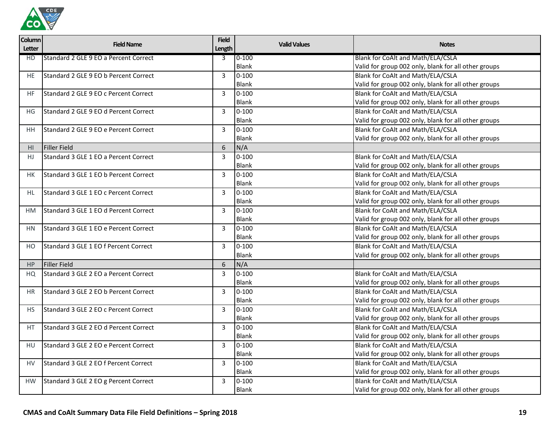

| <b>Column</b><br><b>Letter</b> | <b>Field Name</b>                            | <b>Field</b><br>Length | <b>Valid Values</b> | <b>Notes</b>                                         |
|--------------------------------|----------------------------------------------|------------------------|---------------------|------------------------------------------------------|
| HD                             | <b>Standard 2 GLE 9 EO a Percent Correct</b> | 3                      | $0 - 100$           | Blank for CoAlt and Math/ELA/CSLA                    |
|                                |                                              |                        | <b>Blank</b>        | Valid for group 002 only, blank for all other groups |
| HE.                            | Standard 2 GLE 9 EO b Percent Correct        | 3                      | $0 - 100$           | Blank for CoAlt and Math/ELA/CSLA                    |
|                                |                                              |                        | <b>Blank</b>        | Valid for group 002 only, blank for all other groups |
| <b>HF</b>                      | Standard 2 GLE 9 EO c Percent Correct        | 3                      | $0 - 100$           | Blank for CoAlt and Math/ELA/CSLA                    |
|                                |                                              |                        | Blank               | Valid for group 002 only, blank for all other groups |
| ΗG                             | <b>Standard 2 GLE 9 EO d Percent Correct</b> | 3                      | $0 - 100$           | Blank for CoAlt and Math/ELA/CSLA                    |
|                                |                                              |                        | Blank               | Valid for group 002 only, blank for all other groups |
| HH.                            | Standard 2 GLE 9 EO e Percent Correct        | 3                      | $0 - 100$           | Blank for CoAlt and Math/ELA/CSLA                    |
|                                |                                              |                        | <b>Blank</b>        | Valid for group 002 only, blank for all other groups |
| HI.                            | <b>Filler Field</b>                          | 6                      | N/A                 |                                                      |
| HJ                             | Standard 3 GLE 1 EO a Percent Correct        | 3                      | $0 - 100$           | Blank for CoAlt and Math/ELA/CSLA                    |
|                                |                                              |                        | <b>Blank</b>        | Valid for group 002 only, blank for all other groups |
| HК                             | Standard 3 GLE 1 EO b Percent Correct        | 3                      | $0 - 100$           | Blank for CoAlt and Math/ELA/CSLA                    |
|                                |                                              |                        | <b>Blank</b>        | Valid for group 002 only, blank for all other groups |
| HL.                            | Standard 3 GLE 1 EO c Percent Correct        | $\overline{3}$         | $0 - 100$           | Blank for CoAlt and Math/ELA/CSLA                    |
|                                |                                              |                        | <b>Blank</b>        | Valid for group 002 only, blank for all other groups |
| HM                             | Standard 3 GLE 1 EO d Percent Correct        | 3                      | $0 - 100$           | Blank for CoAlt and Math/ELA/CSLA                    |
|                                |                                              |                        | Blank               | Valid for group 002 only, blank for all other groups |
| <b>HN</b>                      | Standard 3 GLE 1 EO e Percent Correct        | 3                      | $0 - 100$           | Blank for CoAlt and Math/ELA/CSLA                    |
|                                |                                              |                        | Blank               | Valid for group 002 only, blank for all other groups |
| HO                             | Standard 3 GLE 1 EO f Percent Correct        | $\overline{3}$         | $0 - 100$           | Blank for CoAlt and Math/ELA/CSLA                    |
|                                |                                              |                        | Blank               | Valid for group 002 only, blank for all other groups |
| HP                             | <b>Filler Field</b>                          | 6                      | N/A                 |                                                      |
| HQ                             | Standard 3 GLE 2 EO a Percent Correct        | 3                      | $0 - 100$           | Blank for CoAlt and Math/ELA/CSLA                    |
|                                |                                              |                        | <b>Blank</b>        | Valid for group 002 only, blank for all other groups |
| <b>HR</b>                      | Standard 3 GLE 2 EO b Percent Correct        | $\overline{3}$         | $0 - 100$           | Blank for CoAlt and Math/ELA/CSLA                    |
|                                |                                              |                        | <b>Blank</b>        | Valid for group 002 only, blank for all other groups |
| HS.                            | Standard 3 GLE 2 EO c Percent Correct        | 3                      | $0 - 100$           | Blank for CoAlt and Math/ELA/CSLA                    |
|                                |                                              |                        | <b>Blank</b>        | Valid for group 002 only, blank for all other groups |
| HT                             | Standard 3 GLE 2 EO d Percent Correct        | $\overline{3}$         | $0 - 100$           | Blank for CoAlt and Math/ELA/CSLA                    |
|                                |                                              |                        | Blank               | Valid for group 002 only, blank for all other groups |
| HU                             | Standard 3 GLE 2 EO e Percent Correct        | 3                      | $0 - 100$           | Blank for CoAlt and Math/ELA/CSLA                    |
|                                |                                              |                        | Blank               | Valid for group 002 only, blank for all other groups |
| <b>HV</b>                      | Standard 3 GLE 2 EO f Percent Correct        | $\overline{3}$         | $0 - 100$           | Blank for CoAlt and Math/ELA/CSLA                    |
|                                |                                              |                        | Blank               | Valid for group 002 only, blank for all other groups |
| <b>HW</b>                      | Standard 3 GLE 2 EO g Percent Correct        | 3                      | $0 - 100$           | Blank for CoAlt and Math/ELA/CSLA                    |
|                                |                                              |                        | <b>Blank</b>        | Valid for group 002 only, blank for all other groups |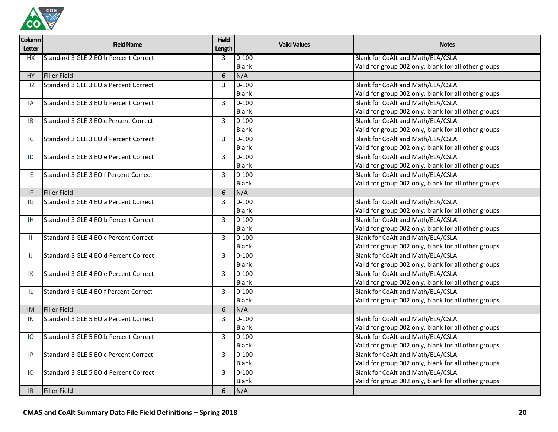

| Column<br><b>Letter</b> | <b>Field Name</b>                     | <b>Field</b><br>Length | <b>Valid Values</b> | <b>Notes</b>                                         |
|-------------------------|---------------------------------------|------------------------|---------------------|------------------------------------------------------|
| <b>HX</b>               | Standard 3 GLE 2 EO h Percent Correct | 3                      | $0 - 100$           | Blank for CoAlt and Math/ELA/CSLA                    |
|                         |                                       |                        | <b>Blank</b>        | Valid for group 002 only, blank for all other groups |
| <b>HY</b>               | Filler Field                          | 6                      | N/A                 |                                                      |
| HZ                      | Standard 3 GLE 3 EO a Percent Correct | 3                      | $0 - 100$           | Blank for CoAlt and Math/ELA/CSLA                    |
|                         |                                       |                        | <b>Blank</b>        | Valid for group 002 only, blank for all other groups |
| IA                      | Standard 3 GLE 3 EO b Percent Correct | $\overline{3}$         | $0 - 100$           | Blank for CoAlt and Math/ELA/CSLA                    |
|                         |                                       |                        | Blank               | Valid for group 002 only, blank for all other groups |
| <b>IB</b>               | Standard 3 GLE 3 EO c Percent Correct | $\overline{3}$         | $0 - 100$           | Blank for CoAlt and Math/ELA/CSLA                    |
|                         |                                       |                        | <b>Blank</b>        | Valid for group 002 only, blank for all other groups |
| IC                      | Standard 3 GLE 3 EO d Percent Correct | 3                      | $0 - 100$           | Blank for CoAlt and Math/ELA/CSLA                    |
|                         |                                       |                        | <b>Blank</b>        | Valid for group 002 only, blank for all other groups |
| ID                      | Standard 3 GLE 3 EO e Percent Correct | $\overline{3}$         | $0 - 100$           | Blank for CoAlt and Math/ELA/CSLA                    |
|                         |                                       |                        | <b>Blank</b>        | Valid for group 002 only, blank for all other groups |
| IE                      | Standard 3 GLE 3 EO f Percent Correct | 3                      | $0 - 100$           | Blank for CoAlt and Math/ELA/CSLA                    |
|                         |                                       |                        | Blank               | Valid for group 002 only, blank for all other groups |
| IF.                     | Filler Field                          | 6                      | N/A                 |                                                      |
| IG                      | Standard 3 GLE 4 EO a Percent Correct | $\overline{3}$         | $0 - 100$           | Blank for CoAlt and Math/ELA/CSLA                    |
|                         |                                       |                        | <b>Blank</b>        | Valid for group 002 only, blank for all other groups |
| IH.                     | Standard 3 GLE 4 EO b Percent Correct | $\overline{3}$         | $0 - 100$           | Blank for CoAlt and Math/ELA/CSLA                    |
|                         |                                       |                        | <b>Blank</b>        | Valid for group 002 only, blank for all other groups |
| $\mathbf{H}$            | Standard 3 GLE 4 EO c Percent Correct | 3                      | $0 - 100$           | Blank for CoAlt and Math/ELA/CSLA                    |
|                         |                                       |                        | Blank               | Valid for group 002 only, blank for all other groups |
| IJ                      | Standard 3 GLE 4 EO d Percent Correct | $\overline{3}$         | $0 - 100$           | Blank for CoAlt and Math/ELA/CSLA                    |
|                         |                                       |                        | <b>Blank</b>        | Valid for group 002 only, blank for all other groups |
| IK                      | Standard 3 GLE 4 EO e Percent Correct | 3                      | $0 - 100$           | Blank for CoAlt and Math/ELA/CSLA                    |
|                         |                                       |                        | <b>Blank</b>        | Valid for group 002 only, blank for all other groups |
| IL.                     | Standard 3 GLE 4 EO f Percent Correct | 3                      | $0 - 100$           | Blank for CoAlt and Math/ELA/CSLA                    |
|                         |                                       |                        | Blank               | Valid for group 002 only, blank for all other groups |
| <b>IM</b>               | Filler Field                          | $6\phantom{1}$         | N/A                 |                                                      |
| IN                      | Standard 3 GLE 5 EO a Percent Correct | $\overline{3}$         | $0 - 100$           | Blank for CoAlt and Math/ELA/CSLA                    |
|                         |                                       |                        | <b>Blank</b>        | Valid for group 002 only, blank for all other groups |
| IO                      | Standard 3 GLE 5 EO b Percent Correct | 3                      | $0 - 100$           | Blank for CoAlt and Math/ELA/CSLA                    |
|                         |                                       |                        | <b>Blank</b>        | Valid for group 002 only, blank for all other groups |
| IP                      | Standard 3 GLE 5 EO c Percent Correct | $\overline{3}$         | $0 - 100$           | Blank for CoAlt and Math/ELA/CSLA                    |
|                         |                                       |                        | Blank               | Valid for group 002 only, blank for all other groups |
| IQ                      | Standard 3 GLE 5 EO d Percent Correct | $\overline{3}$         | $0 - 100$           | Blank for CoAlt and Math/ELA/CSLA                    |
|                         |                                       |                        | <b>Blank</b>        | Valid for group 002 only, blank for all other groups |
| IR.                     | <b>Filler Field</b>                   | 6                      | N/A                 |                                                      |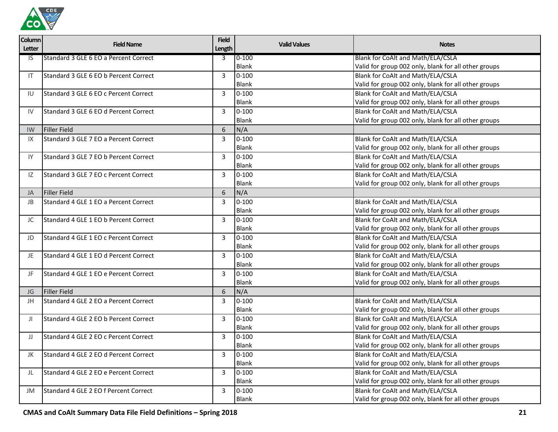

| <b>Column</b><br>Letter | <b>Field Name</b>                     | <b>Field</b><br>Length | <b>Valid Values</b> | <b>Notes</b>                                         |
|-------------------------|---------------------------------------|------------------------|---------------------|------------------------------------------------------|
| IS                      | Standard 3 GLE 6 EO a Percent Correct | 3                      | $0 - 100$           | Blank for CoAlt and Math/ELA/CSLA                    |
|                         |                                       |                        | Blank               | Valid for group 002 only, blank for all other groups |
| IT.                     | Standard 3 GLE 6 EO b Percent Correct | 3                      | $0 - 100$           | Blank for CoAlt and Math/ELA/CSLA                    |
|                         |                                       |                        | <b>Blank</b>        | Valid for group 002 only, blank for all other groups |
| IU                      | Standard 3 GLE 6 EO c Percent Correct | 3                      | $0 - 100$           | Blank for CoAlt and Math/ELA/CSLA                    |
|                         |                                       |                        | <b>Blank</b>        | Valid for group 002 only, blank for all other groups |
| IV                      | Standard 3 GLE 6 EO d Percent Correct | 3                      | $0 - 100$           | Blank for CoAlt and Math/ELA/CSLA                    |
|                         |                                       |                        | <b>Blank</b>        | Valid for group 002 only, blank for all other groups |
| <b>IW</b>               | <b>Filler Field</b>                   | 6                      | N/A                 |                                                      |
| IX                      | Standard 3 GLE 7 EO a Percent Correct | 3                      | $0 - 100$           | Blank for CoAlt and Math/ELA/CSLA                    |
|                         |                                       |                        | <b>Blank</b>        | Valid for group 002 only, blank for all other groups |
| IY                      | Standard 3 GLE 7 EO b Percent Correct | 3                      | $0 - 100$           | Blank for CoAlt and Math/ELA/CSLA                    |
|                         |                                       |                        | <b>Blank</b>        | Valid for group 002 only, blank for all other groups |
| IZ                      | Standard 3 GLE 7 EO c Percent Correct | 3                      | $0 - 100$           | Blank for CoAlt and Math/ELA/CSLA                    |
|                         |                                       |                        | <b>Blank</b>        | Valid for group 002 only, blank for all other groups |
| JA                      | <b>Filler Field</b>                   | 6                      | N/A                 |                                                      |
| <b>JB</b>               | Standard 4 GLE 1 EO a Percent Correct | 3                      | $0 - 100$           | Blank for CoAlt and Math/ELA/CSLA                    |
|                         |                                       |                        | Blank               | Valid for group 002 only, blank for all other groups |
| JC                      | Standard 4 GLE 1 EO b Percent Correct | 3                      | $0 - 100$           | Blank for CoAlt and Math/ELA/CSLA                    |
|                         |                                       |                        | <b>Blank</b>        | Valid for group 002 only, blank for all other groups |
| JD                      | Standard 4 GLE 1 EO c Percent Correct | 3                      | $0 - 100$           | Blank for CoAlt and Math/ELA/CSLA                    |
|                         |                                       |                        | <b>Blank</b>        | Valid for group 002 only, blank for all other groups |
| JE                      | Standard 4 GLE 1 EO d Percent Correct | 3                      | $0 - 100$           | Blank for CoAlt and Math/ELA/CSLA                    |
|                         |                                       |                        | <b>Blank</b>        | Valid for group 002 only, blank for all other groups |
| JF                      | Standard 4 GLE 1 EO e Percent Correct | 3                      | $0 - 100$           | Blank for CoAlt and Math/ELA/CSLA                    |
|                         |                                       |                        | Blank               | Valid for group 002 only, blank for all other groups |
| JG                      | Filler Field                          | 6                      | N/A                 |                                                      |
| JH                      | Standard 4 GLE 2 EO a Percent Correct | 3                      | $0 - 100$           | Blank for CoAlt and Math/ELA/CSLA                    |
|                         |                                       |                        | <b>Blank</b>        | Valid for group 002 only, blank for all other groups |
| ЛL                      | Standard 4 GLE 2 EO b Percent Correct | 3                      | $0 - 100$           | Blank for CoAlt and Math/ELA/CSLA                    |
|                         |                                       |                        | <b>Blank</b>        | Valid for group 002 only, blank for all other groups |
| IJ                      | Standard 4 GLE 2 EO c Percent Correct | 3                      | $0 - 100$           | Blank for CoAlt and Math/ELA/CSLA                    |
|                         |                                       |                        | <b>Blank</b>        | Valid for group 002 only, blank for all other groups |
| JK                      | Standard 4 GLE 2 EO d Percent Correct | 3                      | $0 - 100$           | Blank for CoAlt and Math/ELA/CSLA                    |
|                         |                                       |                        | <b>Blank</b>        | Valid for group 002 only, blank for all other groups |
| JL                      | Standard 4 GLE 2 EO e Percent Correct | 3                      | $0 - 100$           | Blank for CoAlt and Math/ELA/CSLA                    |
|                         |                                       |                        | Blank               | Valid for group 002 only, blank for all other groups |
| JM                      | Standard 4 GLE 2 EO f Percent Correct | 3                      | $0 - 100$           | Blank for CoAlt and Math/ELA/CSLA                    |
|                         |                                       |                        | Blank               | Valid for group 002 only, blank for all other groups |